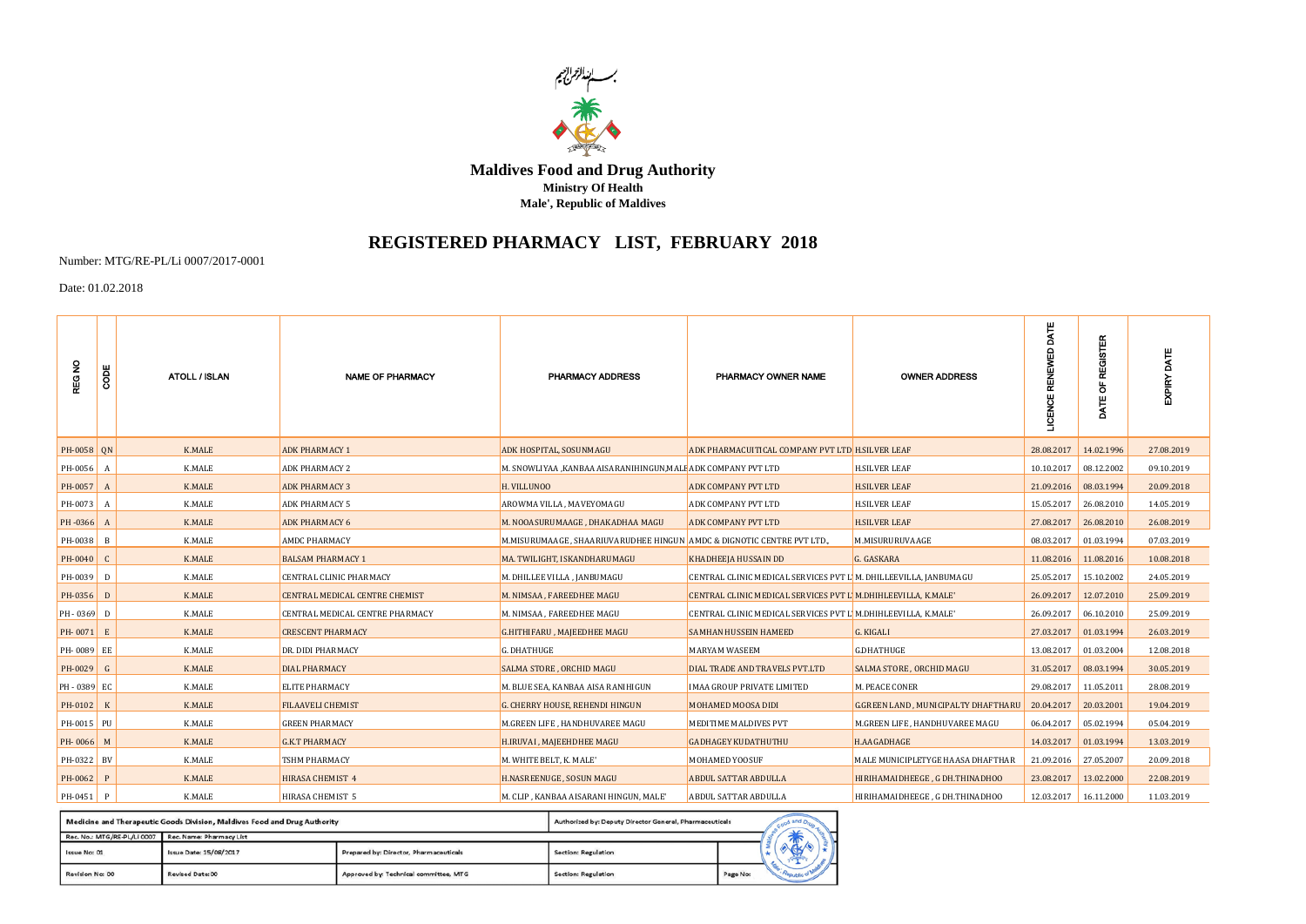

**Maldives Food and Drug Authority Ministry Of Health Male', Republic of Maldives**

## **REGISTERED PHARMACY LIST, FEBRUARY 2018**

Number: MTG/RE-PL/Li 0007/2017-0001

Date: 01.02.2018

| <b>REG NO</b> | <b>SODE</b>  | <b>ATOLL / ISLAN</b> | <b>NAME OF PHARMACY</b>         | PHARMACY ADDRESS                                                       | PHARMACY OWNER NAME                                              | <b>OWNER ADDRESS</b>                           | e<br>MT               | <b>REGISTER</b><br>ä<br>Ĕ | EXPIRY DATE |
|---------------|--------------|----------------------|---------------------------------|------------------------------------------------------------------------|------------------------------------------------------------------|------------------------------------------------|-----------------------|---------------------------|-------------|
| PH-0058 ON    |              | <b>K.MALE</b>        | <b>ADK PHARMACY 1</b>           | ADK HOSPITAL, SOSUNMAGU                                                | ADK PHARMACUITICAL COMPANY PVT LTD H.SILVER LEAF                 |                                                | 28.08.2017            | 14.02.1996                | 27.08.2019  |
| PH-0056 A     |              | K.MALE               | ADK PHARMACY 2                  | M. SNOWLIYAA ,KANBAA AISARANIHINGUN,MALI ADK COMPANY PVT LTD           |                                                                  | <b>H.SILVER LEAF</b>                           | 10.10.2017 08.12.2002 |                           | 09.10.2019  |
| PH-0057       | A            | K.MALE               | <b>ADK PHARMACY 3</b>           | H. VILLUNOO                                                            | ADK COMPANY PVT LTD                                              | <b>H.SILVER LEAF</b>                           | 21.09.2016            | 08.03.1994                | 20.09.2018  |
| PH-0073 A     |              | K.MALE               | ADK PHARMACY 5                  | AROWMA VILLA, MAVEYOMAGU                                               | ADK COMPANY PVT LTD                                              | <b>H.SILVER LEAF</b>                           | 15.05.2017 26.08.2010 |                           | 14.05.2019  |
| PH-0366 A     |              | K.MALE               | <b>ADK PHARMACY 6</b>           | M. NOOASURUMAAGE, DHAKADHAA MAGU                                       | <b>ADK COMPANY PVT LTD</b>                                       | <b>H.SILVER LEAF</b>                           | 27.08.2017            | 26.08.2010                | 26.08.2019  |
| PH-0038 B     |              | K.MALE               | AMDC PHARMACY                   | M.MISURUMAAGE, SHAARIUVARUDHEE HINGUN AMDC & DIGNOTIC CENTRE PVT LTD., |                                                                  | M.MISURURUVAAGE                                | 08.03.2017            | 01.03.1994                | 07.03.2019  |
| PH-0040 C     |              | K.MALE               | <b>BALSAM PHARMACY 1</b>        | MA. TWILIGHT, ISKANDHARUMAGU                                           | <b>KHADHEEJA HUSSAIN DD</b>                                      | G. GASKARA                                     | 11.08.2016            | 11.08.2016                | 10.08.2018  |
| PH-0039 D     |              | K.MALE               | CENTRAL CLINIC PHARMACY         | M. DHILLEE VILLA, JANBUMAGU                                            | CENTRAL CLINIC MEDICAL SERVICES PVT L'M. DHILLEEVILLA, JANBUMAGU |                                                | 25.05.2017            | 15.10.2002                | 24.05.2019  |
| PH-0356 D     |              | K.MALE               | CENTRAL MEDICAL CENTRE CHEMIST  | M. NIMSAA, FAREEDHEE MAGU                                              | CENTRAL CLINIC MEDICAL SERVICES PVT L'M.DHIHLEEVILLA, K.MALE'    |                                                | 26.09.2017            | 12.07.2010                | 25.09.2019  |
| $PH - 0369$ D |              | K.MALE               | CENTRAL MEDICAL CENTRE PHARMACY | M. NIMSAA, FAREEDHEE MAGU                                              | CENTRAL CLINIC MEDICAL SERVICES PVT L'M.DHIHLEEVILLA, K.MALE'    |                                                | 26.09.2017            | 06.10.2010                | 25.09.2019  |
| PH-0071 E     |              | K.MALE               | <b>CRESCENT PHARMACY</b>        | G.HITHIFARU, MAJEEDHEE MAGU                                            | <b>SAMHAN HUSSEIN HAMEED</b>                                     | G. KIGALI                                      | 27.03.2017 01.03.1994 |                           | 26.03.2019  |
| PH-0089 EE    |              | K.MALE               | DR. DIDI PHARMACY               | <b>G. DHATHUGE</b>                                                     | MARYAM WASEEM                                                    | <b>G.DHATHUGE</b>                              | 13.08.2017            | 01.03.2004                | 12.08.2018  |
| PH-0029 G     |              | <b>K.MALE</b>        | DIAL PHARMACY                   | SALMA STORE, ORCHID MAGU                                               | DIAL TRADE AND TRAVELS PVT.LTD                                   | SALMA STORE, ORCHID MAGU                       | 31.05.2017            | 08.03.1994                | 30.05.2019  |
| PH-0389 EC    |              | K.MALE               | <b>ELITE PHARMACY</b>           | M. BLUE SEA, KANBAA AISA RANIHIGUN                                     | IMAA GROUP PRIVATE LIMITED                                       | M. PEACE CONER                                 | 29.08.2017            | 11.05.2011                | 28.08.2019  |
| PH-0102 K     |              | <b>K.MALE</b>        | <b>FILAAVELI CHEMIST</b>        | G. CHERRY HOUSE, REHENDI HINGUN                                        | MOHAMED MOOSA DIDI                                               | G.GREEN LAND, MUNICIPALTY DHAFTHARU 20.04.2017 |                       | 20.03.2001                | 19.04.2019  |
| PH-0015 PU    |              | K.MALE               | <b>GREEN PHARMACY</b>           | M.GREEN LIFE , HANDHUVAREE MAGU                                        | MEDITIME MALDIVES PVT                                            | M.GREEN LIFE , HANDHUVAREE MAGU                | 06.04.2017            | 05.02.1994                | 05.04.2019  |
| PH-0066 M     |              | <b>K.MALE</b>        | <b>G.K.T PHARMACY</b>           | H.IRUVAI, MAJEEHDHEE MAGU                                              | <b>GADHAGEY KUDATHUTHU</b>                                       | H.AAGADHAGE                                    | 14.03.2017            | 01.03.1994                | 13.03.2019  |
| PH-0322 BV    |              | K.MALE               | TSHM PHARMACY                   | M. WHITE BELT, K. MALE'                                                | MOHAMED YOOSUF                                                   | MALE MUNICIPLETYGE HAASA DHAFTHAR              | 21.09.2016 27.05.2007 |                           | 20.09.2018  |
| PH-0062       | $\mathbf{P}$ | <b>K.MALE</b>        | <b>HIRASA CHEMIST 4</b>         | H.NASREENUGE, SOSUN MAGU                                               | <b>ABDUL SATTAR ABDULLA</b>                                      | HIRIHAMAIDHEEGE, G DH.THINADHOO                | 23.08.2017            | 13.02.2000                | 22.08.2019  |
| PH-0451 P     |              | K.MALE               | HIRASA CHEMIST 5                | M. CLIP, KANBAA AISARANI HINGUN, MALE'                                 | ABDUL SATTAR ABDULLA                                             | HIRIHAMAIDHEEGE, G DH.THINADHOO                |                       | 12.03.2017 16.11.2000     | 11.03.2019  |

| Medicine and Therapeutic Goods Division, Maldives Food and Drug Authority<br>Authorized by: Deputy Director General, Pharmaceuticals |                                                      |                                        |                     |          |  |  |  |
|--------------------------------------------------------------------------------------------------------------------------------------|------------------------------------------------------|----------------------------------------|---------------------|----------|--|--|--|
|                                                                                                                                      | Rec. No.: MTG/RE-PL/LI 0007 Rec. Name: Pharmacy List |                                        |                     |          |  |  |  |
| Issue No: 01                                                                                                                         | Issue Date: 15/08/2017                               | Prepared by: Director, Pharmaceuticals | Section: Regulation |          |  |  |  |
| Revision No: 00                                                                                                                      | <b>Revised Date: 00</b>                              | Approved by: Technical committee, MTG  | Section: Regulation | Page No: |  |  |  |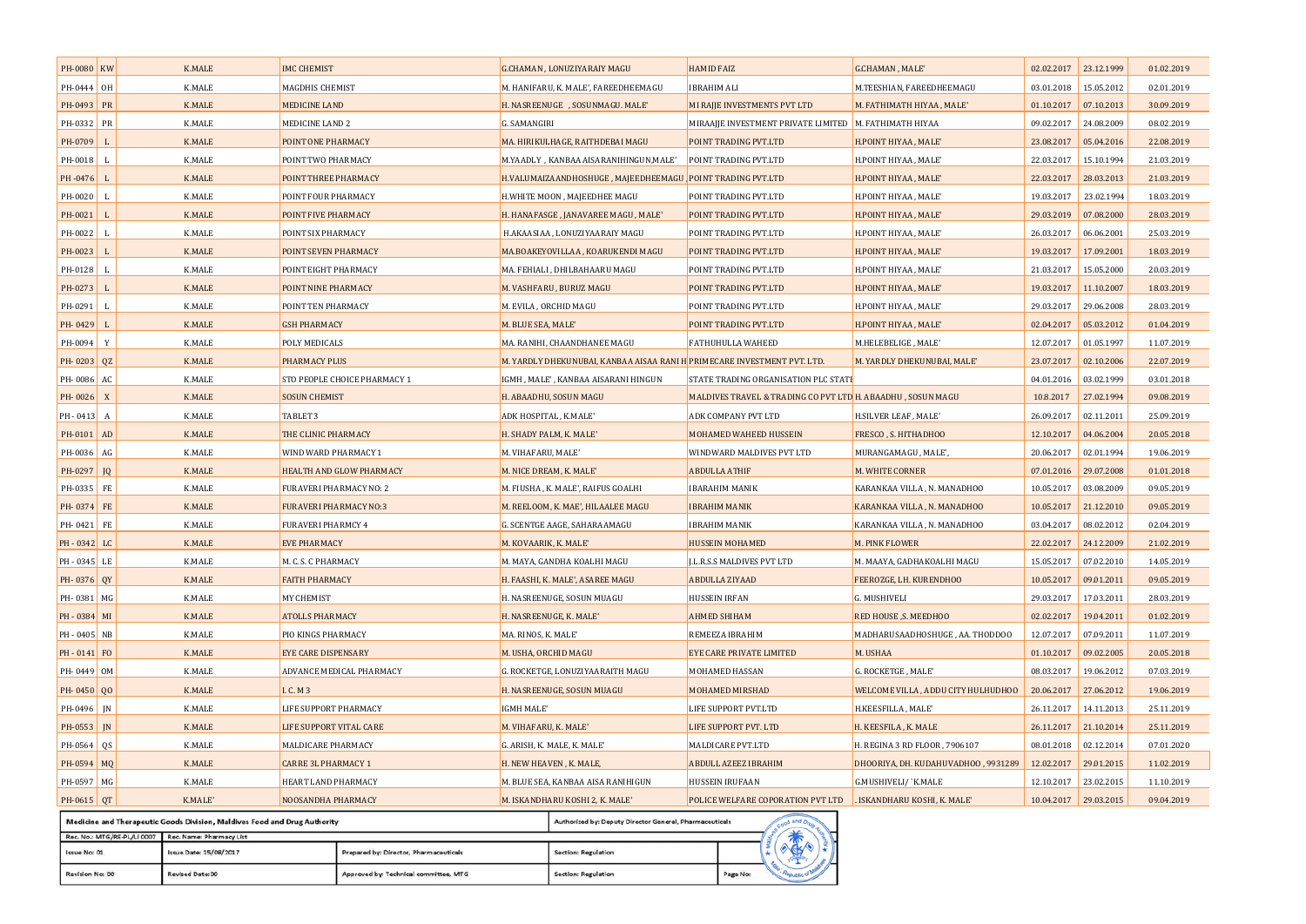| PH-0080 KW   |                | <b>K.MALE</b> | <b>IMC CHEMIST</b>            | G.CHAMAN, LONUZIYARAIY MAGU                                                             | <b>HAMID FAIZ</b>                                           | G.CHAMAN, MALE'                     | 02.02.2017            | 23.12.1999 | 01.02.2019 |
|--------------|----------------|---------------|-------------------------------|-----------------------------------------------------------------------------------------|-------------------------------------------------------------|-------------------------------------|-----------------------|------------|------------|
| PH-0444 OH   |                | K.MALE        | MAGDHIS CHEMIST               | M. HANIFARU, K. MALE', FAREEDHEEMAGU                                                    | <b>IBRAHIM ALI</b>                                          | M.TEESHIAN, FAREEDHEEMAGU           | 03.01.2018            | 15.05.2012 | 02.01.2019 |
| PH-0493 PR   |                | <b>K.MALE</b> | MEDICINE LAND                 | H. NASREENUGE , SOSUNMAGU. MALE'                                                        | MI RAJJE INVESTMENTS PVT LTD                                | M. FATHIMATH HIYAA, MALE'           | 01.10.2017            | 07.10.2013 | 30.09.2019 |
| PH-0332      | PR             | <b>K.MALE</b> | MEDICINE LAND 2               | G. SAMANGIRI                                                                            | MIRAAJJE INVESTMENT PRIVATE LIMITED   M. FATHIMATH HIYAA    |                                     | 09.02.2017            | 24.08.2009 | 08.02.2019 |
| PH-0709      |                | <b>K.MALE</b> | POINT ONE PHARMACY            | MA. HIRIKULHAGE, RAITHDEBAI MAGU                                                        | POINT TRADING PVT.LTD                                       | H.POINT HIYAA, MALE'                | 23.08.2017            | 05.04.2016 | 22.08.2019 |
| PH-0018      | $\blacksquare$ | <b>K.MALE</b> | POINT TWO PHARMACY            | M.YAADLY, KANBAA AISARANIHINGUN, MALE'                                                  | POINT TRADING PVT.LTD                                       | H.POINT HIYAA, MALE'                | 22.03.2017            | 15.10.1994 | 21.03.2019 |
| PH-0476      | $\blacksquare$ | <b>K.MALE</b> | POINT THREE PHARMACY          | H.VALUMAIZAANDHOSHUGE , MAJEEDHEEMAGU POINT TRADING PVT.LTD                             |                                                             | H.POINT HIYAA, MALE'                | 22.03.2017 28.03.2013 |            | 21.03.2019 |
| PH-0020      | $\blacksquare$ | <b>K.MALE</b> | POINT FOUR PHARMACY           | H.WHITE MOON , MAJEEDHEE MAGU                                                           | POINT TRADING PVT.LTD                                       | H.POINT HIYAA, MALE'                | 19.03.2017            | 23.02.1994 | 18.03.2019 |
| PH-0021      | $\mathbf{I}$   | <b>K.MALE</b> | POINT FIVE PHARMACY           | H. HANAFASGE , JANAVAREE MAGU , MALE'                                                   | POINT TRADING PVT.LTD                                       | H.POINT HIYAA, MALE'                | 29.03.2019            | 07.08.2000 | 28.03.2019 |
| PH-0022      | $\blacksquare$ | K.MALE        | POINT SIX PHARMACY            | H.AKAASIAA , LONUZIYAARAIY MAGU                                                         | POINT TRADING PVT.LTD                                       | H.POINT HIYAA, MALE'                | 26.03.2017            | 06.06.2001 | 25.03.2019 |
| PH-0023      |                | <b>K.MALE</b> | POINT SEVEN PHARMACY          | MA.BOAKEYOVILLAA, KOARUKENDI MAGU                                                       | POINT TRADING PVT.LTD                                       | H.POINT HIYAA, MALE'                | 19.03.2017            | 17.09.2001 | 18.03.2019 |
| PH-0128      | $\blacksquare$ | K.MALE        | POINT EIGHT PHARMACY          | MA. FEHIALI , DHILBAHAARU MAGU                                                          | POINT TRADING PVT.LTD                                       | H.POINT HIYAA, MALE'                | 21.03.2017            | 15.05.2000 | 20.03.2019 |
| PH-0273      | $\mathbf{I}$   | <b>K.MALE</b> | POINT NINE PHARMACY           | M. VASHFARU, BURUZ MAGU                                                                 | POINT TRADING PVT.LTD                                       | H.POINT HIYAA, MALE'                | 19.03.2017            | 11.10.2007 | 18.03.2019 |
| PH-0291      | л.             | <b>K.MALE</b> | POINT TEN PHARMACY            | M. EVILA , ORCHID MAGU                                                                  | POINT TRADING PVT.LTD                                       | H.POINT HIYAA, MALE'                | 29.03.2017            | 29.06.2008 | 28.03.2019 |
| PH-0429      |                | <b>K.MALE</b> | <b>GSH PHARMACY</b>           | M. BLUE SEA, MALE'                                                                      | POINT TRADING PVT.LTD                                       | H.POINT HIYAA, MALE'                | 02.04.2017            | 05.03.2012 | 01.04.2019 |
| PH-0094      | Y              | K.MALE        | POLY MEDICALS                 | MA. RANIHI, CHAANDHANEE MAGU                                                            | <b>FATHUHULLA WAHEED</b>                                    | M.HELEBELIGE, MALE'                 | 12.07.2017            | 01.05.1997 | 11.07.2019 |
| PH-0203 QZ   |                | <b>K.MALE</b> | PHARMACY PLUS                 | M. YARDLY DHEKUNUBAI, KANBAA AISAA RANI H <mark>.</mark> PRIMECARE INVESTMENT PVT. LTD. |                                                             | M. YARDLY DHEKUNUBAI, MALE'         | 23.07.2017            | 02.10.2006 | 22.07.2019 |
| PH-0086      | AC             | <b>K.MALE</b> | STO PEOPLE CHOICE PHARMACY 1  | IGMH , MALE' , KANBAA AISARANI HINGUN                                                   | STATE TRADING ORGANISATION PLC STATE                        |                                     | 04.01.2016            | 03.02.1999 | 03.01.2018 |
| PH-0026      | $\mathbf{X}$   | <b>K.MALE</b> | <b>SOSUN CHEMIST</b>          | H. ABAADHU, SOSUN MAGU                                                                  | MALDIVES TRAVEL & TRADING CO PVT LTD H. ABAADHU, SOSUN MAGU |                                     | 10.8.2017             | 27.02.1994 | 09.08.2019 |
| $PH - 0413$  | A              | <b>K.MALE</b> | TABLET <sub>3</sub>           | ADK HOSPITAL, K.MALE'                                                                   | ADK COMPANY PVT LTD                                         | H.SILVER LEAF, MALE'                | 26.09.2017            | 02.11.2011 | 25.09.2019 |
| PH-0101 AD   |                | <b>K.MALE</b> | THE CLINIC PHARMACY           | H. SHADY PALM, K. MALE'                                                                 | MOHAMED WAHEED HUSSEIN                                      | FRESCO, S. HITHADHOO                | 12.10.2017            | 04.06.2004 | 20.05.2018 |
| PH-0036      | AG             | <b>K.MALE</b> | WIND WARD PHARMACY 1          | M. VIHAFARU, MALE'                                                                      | WINDWARD MALDIVES PVT LTD                                   | MURANGAMAGU, MALE',                 | 20.06.2017            | 02.01.1994 | 19.06.2019 |
| PH-0297      | JQ             | <b>K.MALE</b> | HEALTH AND GLOW PHARMACY      | M. NICE DREAM, K. MALE'                                                                 | <b>ABDULLA ATHIF</b>                                        | M. WHITE CORNER                     | 07.01.2016            | 29.07.2008 | 01.01.2018 |
| PH-0335 FE   |                | <b>K.MALE</b> | FURAVERI PHARMACY NO: 2       | M. FIUSHA, K. MALE', RAIFUS GOALHI                                                      | <b>IBARAHIM MANIK</b>                                       | KARANKAA VILLA, N. MANADHOO         | 10.05.2017            | 03.08.2009 | 09.05.2019 |
| PH-0374      | FE             | <b>K.MALE</b> | <b>FURAVERI PHARMACY NO:3</b> | M. REELOOM, K. MAE', HILAALEE MAGU                                                      | <b>IBRAHIM MANIK</b>                                        | KARANKAA VILLA, N. MANADHOO         | 10.05.2017            | 21.12.2010 | 09.05.2019 |
| PH-0421 FE   |                | <b>K.MALE</b> | <b>FURAVERI PHARMCY 4</b>     | G. SCENTGE AAGE, SAHARAAMAGU                                                            | <b>IBRAHIM MANIK</b>                                        | KARANKAA VILLA, N. MANADHOO         | 03.04.2017            | 08.02.2012 | 02.04.2019 |
| PH-0342 LC   |                | <b>K.MALE</b> | <b>EVE PHARMACY</b>           | M. KOVAARIK, K. MALE'                                                                   | <b>HUSSEIN MOHAMED</b>                                      | M. PINK FLOWER                      | 22.02.2017 24.12.2009 |            | 21.02.2019 |
| PH-0345 LE   |                | <b>K.MALE</b> | M. C. S. C PHARMACY           | M. MAYA, GANDHA KOALHI MAGU                                                             | J.L.R.S.S MALDIVES PVT LTD                                  | M. MAAYA, GADHAKOALHI MAGU          | 15.05.2017            | 07.02.2010 | 14.05.2019 |
| PH-0376 QY   |                | <b>K.MALE</b> | <b>FAITH PHARMACY</b>         | H. FAASHI, K. MALE', ASAREE MAGU                                                        | ABDULLA ZIYAAD                                              | FEEROZGE, LH. KURENDHOO             | 10.05.2017            | 09.01.2011 | 09.05.2019 |
| PH-0381 MG   |                | <b>K.MALE</b> | MY CHEMIST                    | H. NASREENUGE, SOSUN MUAGU                                                              | HUSSEIN IRFAN                                               | G. MUSHIVELI                        | 29.03.2017            | 17.03.2011 | 28.03.2019 |
| PH-0384 MI   |                | <b>K.MALE</b> | <b>ATOLLS PHARMACY</b>        | H. NASREENUGE, K. MALE'                                                                 | <b>AHMED SHIHAM</b>                                         | RED HOUSE ,S. MEEDHOO               | 02.02.2017            | 19.04.2011 | 01.02.2019 |
| PH - 0405 NB |                | <b>K.MALE</b> | PIO KINGS PHARMACY            | MA. RINOS, K. MALE'                                                                     | REMEEZA IBRAHIM                                             | MADHARUSAADHOSHUGE, AA. THODDOO     | 12.07.2017            | 07.09.2011 | 11.07.2019 |
| PH-0141 FO   |                | <b>K.MALE</b> | <b>EYE CARE DISPENSARY</b>    | M. USHA, ORCHID MAGU                                                                    | EYE CARE PRIVATE LIMITED                                    | M. USHAA                            | 01.10.2017            | 09.02.2005 | 20.05.2018 |
| PH-0449 0M   |                | <b>K.MALE</b> | ADVANCE MEDICAL PHARMACY      | G. ROCKETGE, LONUZIYAARAITH MAGU                                                        | MOHAMED HASSAN                                              | G. ROCKETGE, MALE'                  | 08.03.2017            | 19.06.2012 | 07.03.2019 |
| PH-0450      | 00             | <b>K.MALE</b> | I. C. M 3                     | H. NASREENUGE, SOSUN MUAGU                                                              | MOHAMED MIRSHAD                                             | WELCOME VILLA, ADDU CITY HULHUDHOO  | 20.06.2017            | 27.06.2012 | 19.06.2019 |
| PH-0496      | IN             | K.MALE        | LIFE SUPPORT PHARMACY         | IGMH MALE'                                                                              | LIFE SUPPORT PVT.LTD                                        | H.KEESFILLA, MALE'                  | 26.11.2017 14.11.2013 |            | 25.11.2019 |
| PH-0553      | IN             | <b>K.MALE</b> | LIFE SUPPORT VITAL CARE       | M. VIHAFARU, K. MALE'                                                                   | LIFE SUPPORT PVT. LTD                                       | H. KEESFILA, K. MALE                | 26.11.2017 21.10.2014 |            | 25.11.2019 |
| PH-0564      | QS             | <b>K.MALE</b> | MALDICARE PHARMACY            | G. ARISH, K. MALE, K. MALE'                                                             | MALDICARE PVT.LTD                                           | H. REGINA 3 RD FLOOR, 7906107       | 08.01.2018            | 02.12.2014 | 07.01.2020 |
| PH-0594 MQ   |                | <b>K.MALE</b> | <b>CARRE 3L PHARMACY 1</b>    | H. NEW HEAVEN, K. MALE,                                                                 | <b>ABDULL AZEEZ IBRAHIM</b>                                 | DHOORIYA, DH. KUDAHUVADHOO, 9931289 | 12.02.2017            | 29.01.2015 | 11.02.2019 |
| PH-0597 MG   |                | K.MALE        | HEART LAND PHARMACY           | M. BLUE SEA, KANBAA AISA RANIHIGUN                                                      | <b>HUSSEIN IRUFAAN</b>                                      | G.MUSHIVELI/ `K.MALE                | 12.10.2017            | 23.02.2015 | 11.10.2019 |
| PH-0615 QT   |                | K.MALE'       | NOOSANDHA PHARMACY            | M. ISKANDHARU KOSHI 2, K. MALE'                                                         | POLICE WELFARE COPORATION PVT LTD                           | . ISKANDHARU KOSHI, K. MALE'        | 10.04.2017 29.03.2015 |            | 09.04.2019 |
|              |                |               |                               |                                                                                         |                                                             |                                     |                       |            |            |

|                             | incurrie and the apeutic Goods Division, maidives rood and Diux Audioficy<br><b>Authorized by: Deputy Director General, Friamidoeuticals</b> |                                        |                     |          |  |                   |  |
|-----------------------------|----------------------------------------------------------------------------------------------------------------------------------------------|----------------------------------------|---------------------|----------|--|-------------------|--|
| Rec. No.: MTG/RE-PL/LI 0007 | Rec. Name: Pharmacy List                                                                                                                     |                                        |                     |          |  |                   |  |
| Issue No: 01                | Issue Date: 15/08/2017                                                                                                                       | Prepared by: Director, Pharmaceuticals | Section: Regulation |          |  |                   |  |
| Revision No: 00             | <b>Revised Date: 00</b>                                                                                                                      | Approved by: Technical committee, MTG  | Section: Regulation | Page No: |  | <b>UDLIBEC OF</b> |  |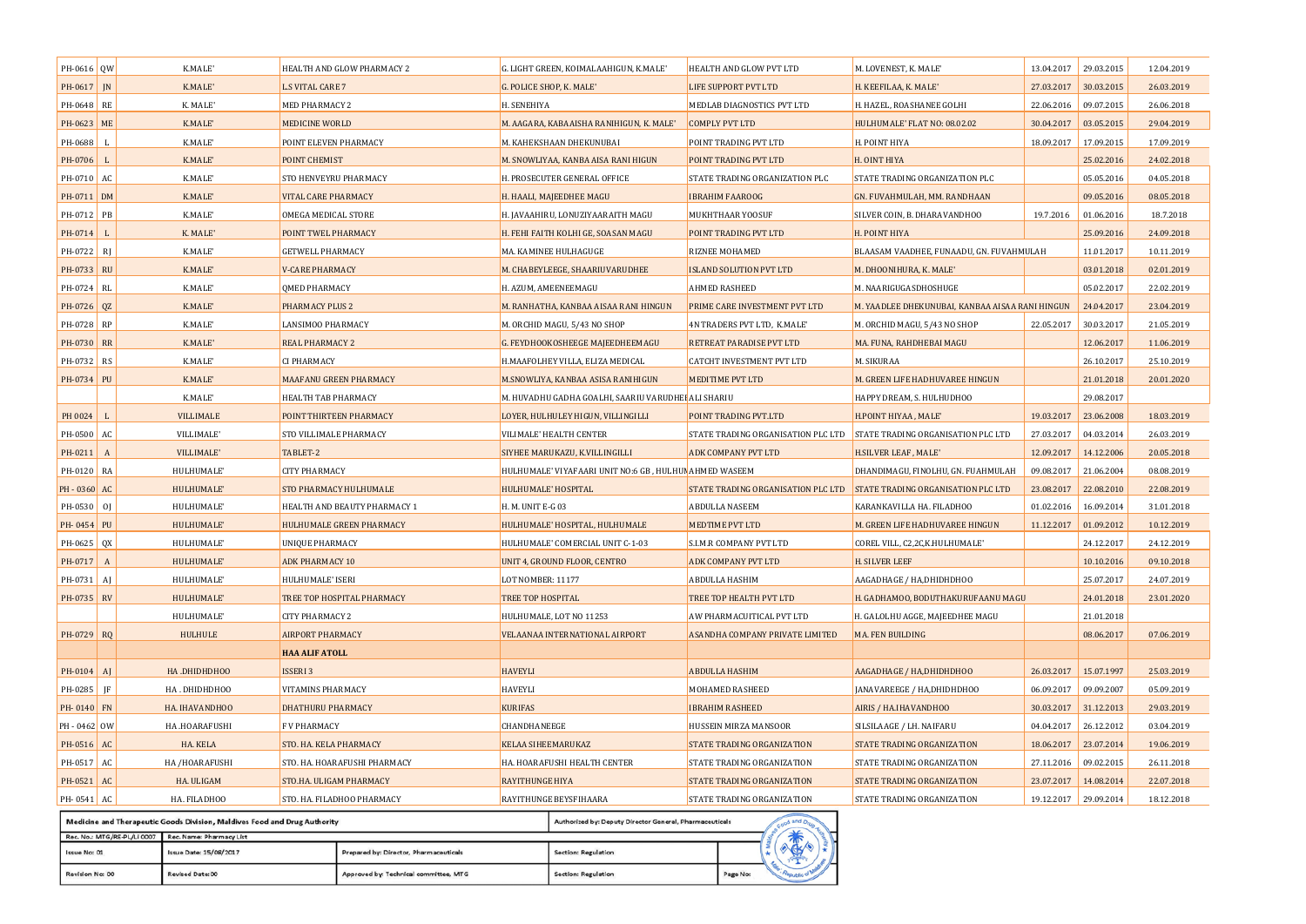| PH-0616 QW   |    | K.MALE'          | HEALTH AND GLOW PHARMACY 2    | G. LIGHT GREEN, KOIMALAAHIGUN, K.MALE'                             | HEALTH AND GLOW PVT LTD            | M. LOVENEST, K. MALE'                           | 13.04.2017            | 29.03.2015 | 12.04.2019 |
|--------------|----|------------------|-------------------------------|--------------------------------------------------------------------|------------------------------------|-------------------------------------------------|-----------------------|------------|------------|
| PH-0617   IN |    | K.MALE'          | <b>L.S VITAL CARE 7</b>       | G. POLICE SHOP, K. MALE'                                           | LIFE SUPPORT PVT LTD               | H. KEEFILAA, K. MALE'                           | 27.03.2017            | 30.03.2015 | 26.03.2019 |
| PH-0648 RE   |    | K. MALE'         | MED PHARMACY 2                | H. SENEHIYA                                                        | MEDLAB DIAGNOSTICS PVT LTD         | H. HAZEL, ROASHANEE GOLHI                       | 22.06.2016            | 09.07.2015 | 26.06.2018 |
| PH-0623 ME   |    | K.MALE'          | MEDICINE WORLD                | M. AAGARA, KABAAISHA RANIHIGUN, K. MALE'                           | <b>COMPLY PVT LTD</b>              | HULHUMALE' FLAT NO: 08.02.02                    | 30.04.2017            | 03.05.2015 | 29.04.2019 |
| PH-0688      |    | K.MALE'          | POINT ELEVEN PHARMACY         | M. KAHEKSHAAN DHEKUNUBAI                                           | POINT TRADING PVT LTD              | H. POINT HIYA                                   | 18.09.2017            | 17.09.2015 | 17.09.2019 |
| PH-0706      |    | K.MALE'          | POINT CHEMIST                 | M. SNOWLIYAA, KANBA AISA RANI HIGUN                                | POINT TRADING PVT LTD              | H. OINT HIYA                                    |                       | 25.02.2016 | 24.02.2018 |
| PH-0710 AC   |    | K.MALE'          | STO HENVEYRU PHARMACY         | H. PROSECUTER GENERAL OFFICE                                       | STATE TRADING ORGANIZATION PLC     | STATE TRADING ORGANIZATION PLC                  |                       | 05.05.2016 | 04.05.2018 |
| PH-0711 DM   |    | K.MALE'          | <b>VITAL CARE PHARMACY</b>    | H. HAALI, MAJEEDHEE MAGU                                           | <b>IBRAHIM FAAROOG</b>             | GN. FUVAHMULAH, MM. RANDHAAN                    |                       | 09.05.2016 | 08.05.2018 |
| PH-0712 PB   |    | K.MALE'          | OMEGA MEDICAL STORE           | H. JAVAAHIRU, LONUZIYAARAITH MAGU                                  | <b>MUKHTHAAR YOOSUF</b>            | SILVER COIN, B. DHARAVANDHOO                    | 19.7.2016             | 01.06.2016 | 18.7.2018  |
| PH-0714      |    | K. MALE'         | POINT TWEL PHARMACY           | H. FEHI FAITH KOLHI GE, SOASAN MAGU                                | POINT TRADING PVT LTD              | H. POINT HIYA                                   |                       | 25.09.2016 | 24.09.2018 |
| PH-0722      | R  | K.MALE'          | <b>GETWELL PHARMACY</b>       | MA. KAMINEE HULHAGUGE                                              | RIZNEE MOHAMED                     | BLAASAM VAADHEE, FUNAADU, GN. FUVAHMULAH        |                       | 11.01.2017 | 10.11.2019 |
| PH-0733 RU   |    | K.MALE'          | <b>V-CARE PHARMACY</b>        | M. CHABEYLEEGE, SHAARIUVARUDHEE                                    | <b>ISLAND SOLUTION PVT LTD</b>     | M. DHOONIHURA, K. MALE'                         |                       | 03.01.2018 | 02.01.2019 |
| PH-0724 RL   |    | K.MALE'          | <b>QMED PHARMACY</b>          | H. AZUM, AMEENEEMAGU                                               | AHMED RASHEED                      | M. NAARIGUGASDHOSHUGE                           |                       | 05.02.2017 | 22.02.2019 |
| PH-0726 QZ   |    | K.MALE'          | PHARMACY PLUS 2               | M. RANHATHA, KANBAA AISAA RANI HINGUN                              | PRIME CARE INVESTMENT PVT LTD      | M. YAADLEE DHEKUNUBAI, KANBAA AISAA RANI HINGUN |                       | 24.04.2017 | 23.04.2019 |
| PH-0728 RP   |    | K.MALE'          | LANSIMOO PHARMACY             | M. ORCHID MAGU, 5/43 NO SHOP                                       | 4N TRADERS PVT LTD, K.MALE'        | M. ORCHID MAGU, 5/43 NO SHOP                    | 22.05.2017            | 30.03.2017 | 21.05.2019 |
| PH-0730 RR   |    | K.MALE'          | REAL PHARMACY 2               | G. FEYDHOOKOSHEEGE MAJEEDHEEMAGU                                   | RETREAT PARADISE PVT LTD           | MA. FUNA, RAHDHEBAI MAGU                        |                       | 12.06.2017 | 11.06.2019 |
| PH-0732 RS   |    | K.MALE'          | CI PHARMACY                   | H.MAAFOLHEY VILLA, ELIZA MEDICAL                                   | <b>CATCHT INVESTMENT PVT LTD</b>   | M. SIKURAA                                      |                       | 26.10.2017 | 25.10.2019 |
| PH-0734 PU   |    | K.MALE'          | <b>MAAFANU GREEN PHARMACY</b> | M.SNOWLIYA, KANBAA ASISA RANIHIGUN                                 | <b>MEDITIME PVT LTD</b>            | M. GREEN LIFE HADHUVAREE HINGUN                 |                       | 21.01.2018 | 20.01.2020 |
|              |    | K.MALE'          | HEALTH TAB PHARMACY           | M. HUVADHU GADHA GOALHI, SAARIU VARUDHEI <mark>.</mark> ALI SHARIU |                                    | HAPPY DREAM, S. HULHUDHOO                       |                       | 29.08.2017 |            |
| PH 0024      |    | <b>VILLIMALE</b> | POINT THIRTEEN PHARMACY       | LOYER, HULHULEY HIGUN, VILLINGILLI                                 | POINT TRADING PVT.LTD              | H.POINT HIYAA, MALE'                            | 19.03.2017            | 23.06.2008 | 18.03.2019 |
| PH-0500      | AC | VILLIMALE'       | STO VILLIMALE PHARMACY        | VILIMALE' HEALTH CENTER                                            | STATE TRADING ORGANISATION PLC LTD | STATE TRADING ORGANISATION PLC LTD              | 27.03.2017            | 04.03.2014 | 26.03.2019 |
| PH-0211 A    |    | VILLIMALE'       | TABLET-2                      | SIYHEE MARUKAZU, K.VILLINGILLI                                     | <b>ADK COMPANY PVT LTD</b>         | H.SILVER LEAF, MALE'                            | 12.09.2017            | 14.12.2006 | 20.05.2018 |
| PH-0120 RA   |    | HULHUMALE'       | <b>CITY PHARMACY</b>          | HULHUMALE' VIYAFAARI UNIT NO:6 GB , HULHUN AHMED WASEEM            |                                    | DHANDIMAGU, FINOLHU, GN. FUAHMULAH              | 09.08.2017            | 21.06.2004 | 08.08.2019 |
| PH-0360 AC   |    | HULHUMALE'       | STO PHARMACY HULHUMALE        | HULHUMALE' HOSPITAL                                                | STATE TRADING ORGANISATION PLC LTD | STATE TRADING ORGANISATION PLC LTD              | 23.08.2017            | 22.08.2010 | 22.08.2019 |
| PH-0530 0J   |    | HULHUMALE'       | HEALTH AND BEAUTY PHARMACY 1  | H. M. UNIT E-G 03                                                  | <b>ABDULLA NASEEM</b>              | KARANKAVILLA HA. FILADHOO                       | 01.02.2016            | 16.09.2014 | 31.01.2018 |
| PH-0454 PU   |    | HULHUMALE'       | HULHUMALE GREEN PHARMACY      | HULHUMALE' HOSPITAL, HULHUMALE                                     | <b>MEDTIME PVT LTD</b>             | M. GREEN LIFE HADHUVAREE HINGUN                 | 11.12.2017            | 01.09.2012 | 10.12.2019 |
| PH-0625 QX   |    | HULHUMALE'       | UNIQUE PHARMACY               | HULHUMALE' COMERCIAL UNIT C-1-03                                   | S.I.M.R COMPANY PVT LTD            | COREL VILL, C2,2C, K.HULHUMALE'                 |                       | 24.12.2017 | 24.12.2019 |
| PH-0717      | A  | HULHUMALE'       | <b>ADK PHARMACY 10</b>        | UNIT 4, GROUND FLOOR, CENTRO                                       | <b>ADK COMPANY PVT LTD</b>         | H. SILVER LEEF                                  |                       | 10.10.2016 | 09.10.2018 |
| PH-0731 AI   |    | HULHUMALE'       | HULHUMALE' ISERI              | LOT NOMBER: 11177                                                  | ABDULLA HASHIM                     | AAGADHAGE / HA,DHIDHDHOO                        |                       | 25.07.2017 | 24.07.2019 |
| PH-0735 RV   |    | HULHUMALE'       | TREE TOP HOSPITAL PHARMACY    | TREE TOP HOSPITAL                                                  | TREE TOP HEALTH PVT LTD            | H. GADHAMOO, BODUTHAKURUFAANU MAGU              |                       | 24.01.2018 | 23.01.2020 |
|              |    | HULHUMALE'       | CITY PHARMACY 2               | HULHUMALE, LOT NO 11253                                            | AW PHARMACUITICAL PVT LTD          | H. GALOLHU AGGE, MAJEEDHEE MAGU                 |                       | 21.01.2018 |            |
| PH-0729 RQ   |    | HULHULE          | <b>AIRPORT PHARMACY</b>       | <b>VELAANAA INTERNATIONAL AIRPORT</b>                              | ASANDHA COMPANY PRIVATE LIMITED    | MA. FEN BUILDING                                |                       | 08.06.2017 | 07.06.2019 |
|              |    |                  | <b>HAA ALIF ATOLL</b>         |                                                                    |                                    |                                                 |                       |            |            |
| $PH-0104$ AJ |    | HA.DHIDHDH00     | <b>ISSERI3</b>                | <b>HAVEYLI</b>                                                     | ABDULLA HASHIM                     | AAGADHAGE / HA, DHIDHDHOO                       | 26.03.2017            | 15.07.1997 | 25.03.2019 |
| PH-0285 JF   |    | HA.DHIDHDHOO     | <b>VITAMINS PHARMACY</b>      | <b>HAVEYLI</b>                                                     | MOHAMED RASHEED                    | JANAVAREEGE / HA, DHIDHDHOO                     | 06.09.2017            | 09.09.2007 | 05.09.2019 |
| PH-0140 FN   |    | HA. IHAVANDHOO   | <b>DHATHURU PHARMACY</b>      | <b>KURIFAS</b>                                                     | <b>IBRAHIM RASHEED</b>             | AIRIS / HA.IHAVANDHOO                           | 30.03.2017 31.12.2013 |            | 29.03.2019 |
| PH - 0462 OW |    | HA .HOARAFUSHI   | <b>FV PHARMACY</b>            | CHANDHANEEGE                                                       | HUSSEIN MIRZA MANSOOR              | SILSILAAGE / LH. NAIFARU                        | 04.04.2017 26.12.2012 |            | 03.04.2019 |
| PH-0516      | AC | HA. KELA         | STO. HA. KELA PHARMACY        | <b>KELAA SIHEEMARUKAZ</b>                                          | <b>STATE TRADING ORGANIZATION</b>  | STATE TRADING ORGANIZATION                      | 18.06.2017 23.07.2014 |            | 19.06.2019 |
| PH-0517 AC   |    | HA /HOARAFUSHI   | STO. HA. HOARAFUSHI PHARMACY  | HA. HOARAFUSHI HEALTH CENTER                                       | STATE TRADING ORGANIZATION         | STATE TRADING ORGANIZATION                      | 27.11.2016            | 09.02.2015 | 26.11.2018 |
| PH-0521      | AC | HA. ULIGAM       | STO.HA. ULIGAM PHARMACY       | RAYITHUNGE HIYA                                                    | STATE TRADING ORGANIZATION         | STATE TRADING ORGANIZATION                      | 23.07.2017            | 14.08.2014 | 22.07.2018 |
| PH-0541 AC   |    | HA. FILADHOO     | STO. HA. FILADHOO PHARMACY    | RAYITHUNGE BEYSFIHAARA                                             | STATE TRADING ORGANIZATION         | STATE TRADING ORGANIZATION                      | 19.12.2017            | 29.09.2014 | 18.12.2018 |
|              |    |                  |                               |                                                                    |                                    |                                                 |                       |            |            |

|                                                      | Medicine and Therapeutic Goods Division, Maldives Food and Drug Authority | Authorized by: Deputy Director General, Pharmaceuticals |                     |          |  | $A$ and $Dn$  |  |  |
|------------------------------------------------------|---------------------------------------------------------------------------|---------------------------------------------------------|---------------------|----------|--|---------------|--|--|
| Rec. No.: MTG/RE-PL/LI 0007 Rec. Name: Pharmacy List |                                                                           |                                                         |                     |          |  |               |  |  |
| Issue No: 01                                         | Issue Date: 15/08/2017                                                    | Prepared by: Director, Pharmaceuticals                  | Section: Regulation |          |  |               |  |  |
| Revision No: 00                                      | Revised Date: 00                                                          | Approved by: Technical committee, MTG                   | Section: Regulation | Page No: |  | """ Public of |  |  |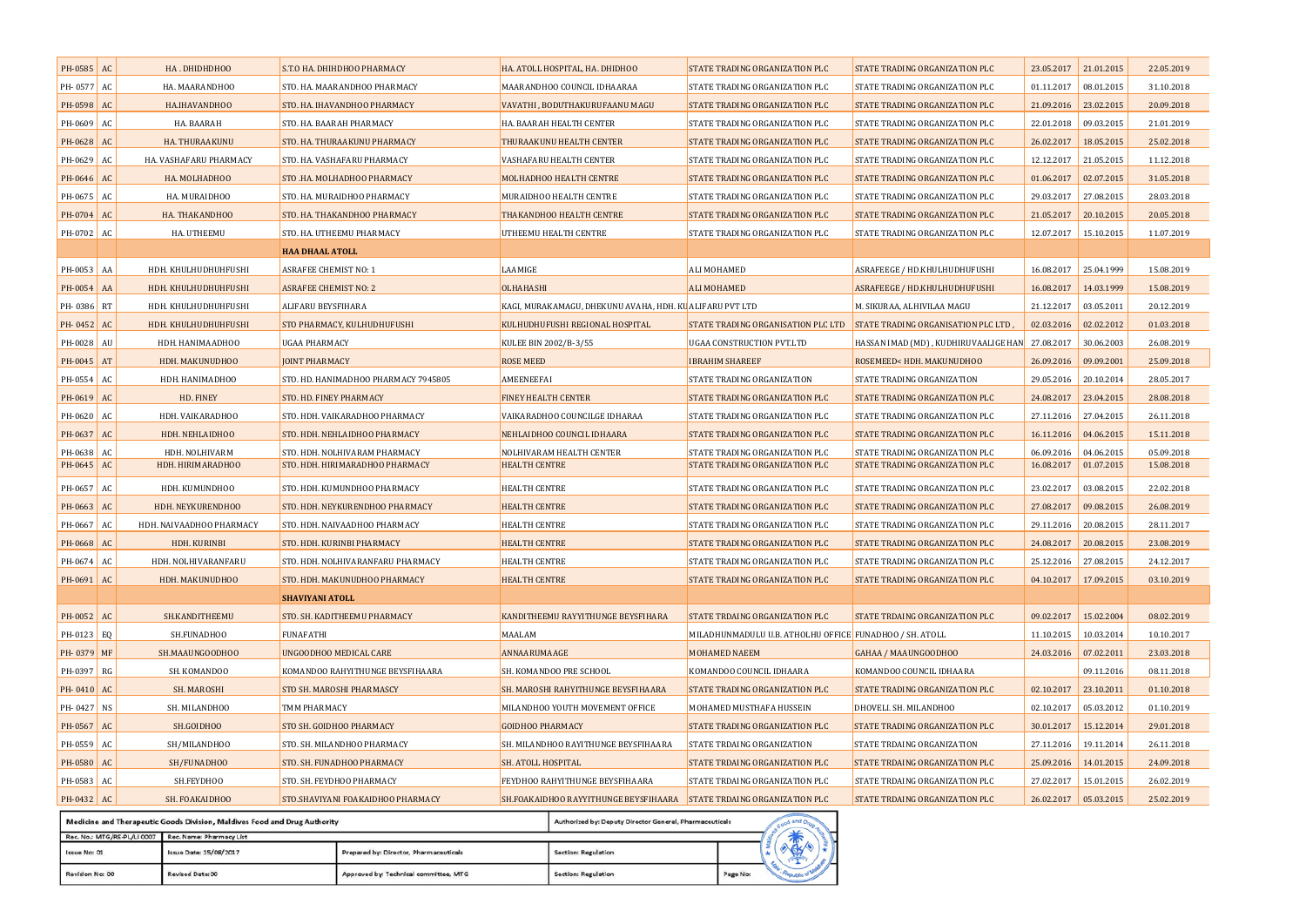| PH-0585    | AC | HA.DHIDHDHOO                                                     | S.T.O HA. DHIHDHOO PHARMACY          | HA. ATOLL HOSPITAL, HA. DHIDHOO                                      | STATE TRADING ORGANIZATION PLC                          | STATE TRADING ORGANIZATION PLC                                                                       | 23.05.2017            | 21.01.2015 | 22.05.2019 |
|------------|----|------------------------------------------------------------------|--------------------------------------|----------------------------------------------------------------------|---------------------------------------------------------|------------------------------------------------------------------------------------------------------|-----------------------|------------|------------|
| PH-0577 AC |    | HA. MAARANDHOO                                                   | STO. HA. MAARANDHOO PHARMACY         | MAARANDHOO COUNCIL IDHAARAA                                          | STATE TRADING ORGANIZATION PLC                          | STATE TRADING ORGANIZATION PLC                                                                       | 01.11.2017            | 08.01.2015 | 31.10.2018 |
| PH-0598    | AC | HA.IHAVANDHOO                                                    | STO. HA. IHAVANDHOO PHARMACY         | VAVATHI, BODUTHAKURUFAANU MAGU                                       | STATE TRADING ORGANIZATION PLC                          | STATE TRADING ORGANIZATION PLC                                                                       | 21.09.2016 23.02.2015 |            | 20.09.2018 |
| PH-0609 AC |    | HA. BAARAH                                                       | STO. HA. BAARAH PHARMACY             | HA. BAARAH HEALTH CENTER                                             | STATE TRADING ORGANIZATION PLC                          | STATE TRADING ORGANIZATION PLC                                                                       | 22.01.2018            | 09.03.2015 | 21.01.2019 |
| PH-0628 AC |    | HA. THURAAKUNU                                                   | STO. HA. THURAAKUNU PHARMACY         | THURAAKUNU HEALTH CENTER                                             | STATE TRADING ORGANIZATION PLC                          | STATE TRADING ORGANIZATION PLC                                                                       | 26.02.2017            | 18.05.2015 | 25.02.2018 |
| PH-0629    | AC | HA. VASHAFARU PHARMACY                                           | STO. HA. VASHAFARU PHARMACY          | VASHAFARU HEALTH CENTER                                              | STATE TRADING ORGANIZATION PLC                          | STATE TRADING ORGANIZATION PLC                                                                       | 12.12.2017            | 21.05.2015 | 11.12.2018 |
| PH-0646 AC |    | HA. MOLHADHOO                                                    | STO .HA. MOLHADHOO PHARMACY          | MOLHADHOO HEALTH CENTRE                                              | STATE TRADING ORGANIZATION PLC                          | STATE TRADING ORGANIZATION PLC                                                                       | 01.06.2017            | 02.07.2015 | 31.05.2018 |
| PH-0675    | AC | HA. MURAIDHOO                                                    | STO. HA. MURAIDHOO PHARMACY          | MURAIDHOO HEALTH CENTRE                                              | STATE TRADING ORGANIZATION PLC                          | STATE TRADING ORGANIZATION PLC                                                                       | 29.03.2017            | 27.08.2015 | 28.03.2018 |
| PH-0704 AC |    | HA. THAKANDHOO                                                   | STO. HA. THAKANDHOO PHARMACY         | THAKANDHOO HEALTH CENTRE                                             | STATE TRADING ORGANIZATION PLC                          | STATE TRADING ORGANIZATION PLC                                                                       | 21.05.2017            | 20.10.2015 | 20.05.2018 |
| PH-0702 AC |    | HA. UTHEEMU                                                      | STO. HA. UTHEEMU PHARMACY            | UTHEEMU HEALTH CENTRE                                                | STATE TRADING ORGANIZATION PLC                          | STATE TRADING ORGANIZATION PLC                                                                       | 12.07.2017 15.10.2015 |            | 11.07.2019 |
|            |    |                                                                  | <b>HAA DHAAL ATOLL</b>               |                                                                      |                                                         |                                                                                                      |                       |            |            |
| PH-0053 AA |    | HDH. KHULHUDHUHFUSHI                                             | <b>ASRAFEE CHEMIST NO: 1</b>         | LAAMIGE                                                              | ALI MOHAMED                                             | ASRAFEEGE / HD.KHULHUDHUFUSHI                                                                        | 16.08.2017            | 25.04.1999 | 15.08.2019 |
| PH-0054 AA |    | HDH. KHULHUDHUHFUSHI                                             | <b>ASRAFEE CHEMIST NO: 2</b>         | OLHAHASHI                                                            | <b>ALI MOHAMED</b>                                      | ASRAFEEGE / HD.KHULHUDHUFUSHI                                                                        | 16.08.2017 14.03.1999 |            | 15.08.2019 |
| PH-0386 RT |    | HDH. KHULHUDHUHFUSHI                                             | ALIFARU BEYSFIHARA                   | KAGI, MURAKAMAGU, DHEKUNU AVAHA, HDH. KU ALIFARU PVT LTD             |                                                         | M. SIKURAA, ALHIVILAA MAGU                                                                           | 21.12.2017            | 03.05.2011 | 20.12.2019 |
| PH-0452    | AC | HDH. KHULHUDHUHFUSHI                                             | STO PHARMACY, KULHUDHUFUSHI          | KULHUDHUFUSHI REGIONAL HOSPITAL                                      | STATE TRADING ORGANISATION PLC LTD                      | STATE TRADING ORGANISATION PLC LTD,                                                                  | 02.03.2016            | 02.02.2012 | 01.03.2018 |
| PH-0028 AU |    | HDH. HANIMAADHOO                                                 | UGAA PHARMACY                        | KULEE BIN 2002/B-3/55                                                | <b>UGAA CONSTRUCTION PVT.LTD</b>                        | HASSAN IMAD (MD), KUDHIRUVAALIGE HAN 27.08.2017                                                      |                       | 30.06.2003 | 26.08.2019 |
| PH-0045    | AT | HDH. MAKUNUDHOO                                                  | <b>JOINT PHARMACY</b>                | <b>ROSE MEED</b>                                                     | <b>IBRAHIM SHAREEF</b>                                  | ROSEMEED <hdh. makunudhoo<="" th=""><th>26.09.2016</th><th>09.09.2001</th><th>25.09.2018</th></hdh.> | 26.09.2016            | 09.09.2001 | 25.09.2018 |
| PH-0554    | AC | HDH. HANIMADHOO                                                  | STO. HD. HANIMADHOO PHARMACY 7945805 | AMEENEEFAI                                                           | STATE TRADING ORGANIZATION                              | STATE TRADING ORGANIZATION                                                                           | 29.05.2016            | 20.10.2014 | 28.05.2017 |
| PH-0619 AC |    | HD. FINEY                                                        | STO. HD. FINEY PHARMACY              | <b>FINEY HEALTH CENTER</b>                                           | STATE TRADING ORGANIZATION PLC                          | STATE TRADING ORGANIZATION PLC                                                                       | 24.08.2017            | 23.04.2015 | 28.08.2018 |
| PH-0620    | AC | HDH. VAIKARADHOO                                                 | STO. HDH. VAIKARADHOO PHARMACY       | VAIKARADHOO COUNCILGE IDHARAA                                        | STATE TRADING ORGANIZATION PLC                          | STATE TRADING ORGANIZATION PLC                                                                       | 27.11.2016            | 27.04.2015 | 26.11.2018 |
| PH-0637 AC |    | HDH. NEHLAIDHOO                                                  | STO. HDH. NEHLAIDHOO PHARMACY        | NEHLAIDHOO COUNCIL IDHAARA                                           | STATE TRADING ORGANIZATION PLC                          | STATE TRADING ORGANIZATION PLC                                                                       | 16.11.2016            | 04.06.2015 | 15.11.2018 |
| PH-0638    | AC | HDH. NOLHIVARM                                                   | STO. HDH. NOLHIVARAM PHARMACY        | NOLHIVARAM HEALTH CENTER                                             | STATE TRADING ORGANIZATION PLC                          | STATE TRADING ORGANIZATION PLC                                                                       | 06.09.2016            | 04.06.2015 | 05.09.2018 |
| PH-0645    | AC | HDH. HIRIMARADHOO                                                | STO. HDH. HIRIMARADHOO PHARMACY      | <b>HEALTH CENTRE</b>                                                 | STATE TRADING ORGANIZATION PLC                          | STATE TRADING ORGANIZATION PLC                                                                       | 16.08.2017            | 01.07.2015 | 15.08.2018 |
| PH-0657    | AC | HDH. KUMUNDHOO                                                   | STO. HDH. KUMUNDHOO PHARMACY         | HEALTH CENTRE                                                        | STATE TRADING ORGANIZATION PLC                          | STATE TRADING ORGANIZATION PLC                                                                       | 23.02.2017            | 03.08.2015 | 22.02.2018 |
| PH-0663    | AC | HDH. NEYKURENDHOO                                                | STO. HDH. NEYKURENDHOO PHARMACY      | <b>HEALTH CENTRE</b>                                                 | STATE TRADING ORGANIZATION PLC                          | STATE TRADING ORGANIZATION PLC                                                                       | 27.08.2017            | 09.08.2015 | 26.08.2019 |
| PH-0667    | AC | HDH. NAIVAADHOO PHARMACY                                         | STO. HDH. NAIVAADHOO PHARMACY        | <b>HEALTH CENTRE</b>                                                 | STATE TRADING ORGANIZATION PLC                          | STATE TRADING ORGANIZATION PLC                                                                       | 29.11.2016            | 20.08.2015 | 28.11.2017 |
| PH-0668    | AC | HDH. KURINBI                                                     | STO. HDH. KURINBI PHARMACY           | <b>HEALTH CENTRE</b>                                                 | STATE TRADING ORGANIZATION PLC                          | STATE TRADING ORGANIZATION PLC                                                                       | 24.08.2017            | 20.08.2015 | 23.08.2019 |
| PH-0674 AC |    | HDH. NOLHIVARANFARU                                              | STO. HDH. NOLHIVARANFARU PHARMACY    | HEALTH CENTRE                                                        | STATE TRADING ORGANIZATION PLC                          | STATE TRADING ORGANIZATION PLC                                                                       | 25.12.2016            | 27.08.2015 | 24.12.2017 |
| PH-0691    | AC | HDH. MAKUNUDHOO                                                  | STO. HDH. MAKUNUDHOO PHARMACY        | <b>HEALTH CENTRE</b>                                                 | STATE TRADING ORGANIZATION PLC                          | STATE TRADING ORGANIZATION PLC                                                                       | 04.10.2017 17.09.2015 |            | 03.10.2019 |
|            |    |                                                                  | <b>SHAVIYANI ATOLL</b>               |                                                                      |                                                         |                                                                                                      |                       |            |            |
| PH-0052    | AC | SH.KANDITHEEMU                                                   | STO. SH. KADITHEEMU PHARMACY         | KANDITHEEMU RAYYITHUNGE BEYSFIHARA                                   | STATE TRDAING ORGANIZATION PLC                          | STATE TRDAING ORGANIZATION PLC                                                                       | 09.02.2017            | 15.02.2004 | 08.02.2019 |
| PH-0123 EQ |    | SH.FUNADHOO                                                      | <b>FUNAFATHI</b>                     | MAALAM                                                               | MILADHUNMADULU U.B. ATHOLHU OFFICE FUNADHOO / SH. ATOLL |                                                                                                      | 11.10.2015            | 10.03.2014 | 10.10.2017 |
| PH-0379 MF |    | SH.MAAUNGOODHOO                                                  | <b>UNGOODHOO MEDICAL CARE</b>        | ANNAARUMAAGE                                                         | MOHAMED NAEEM                                           | GAHAA / MAAUNGOODHOO                                                                                 | 24.03.2016            | 07.02.2011 | 23.03.2018 |
| PH-0397    | RG | SH. KOMANDOO                                                     | KOMANDOO RAHYITHUNGE BEYSFIHAARA     | SH. KOMANDOO PRE SCHOOL                                              | KOMANDOO COUNCIL IDHAARA                                | KOMANDOO COUNCIL IDHAARA                                                                             |                       | 09.11.2016 | 08.11.2018 |
| PH-0410 AC |    | SH. MAROSHI                                                      | STO SH. MAROSHI PHARMASCY            | SH. MAROSHI RAHYITHUNGE BEYSFIHAARA                                  | STATE TRADING ORGANIZATION PLC                          | STATE TRADING ORGANIZATION PLC                                                                       | 02.10.2017 23.10.2011 |            | 01.10.2018 |
| PH-0427 NS |    | SH. MILANDHOO                                                    | TMM PHARMACY                         | MILANDHOO YOUTH MOVEMENT OFFICE                                      | MOHAMED MUSTHAFA HUSSEIN                                | DHOVELI. SH. MILANDHOO                                                                               | 02.10.2017            | 05.03.2012 | 01.10.2019 |
| PH-0567 AC |    | SH.GOIDHOO                                                       | STO SH. GOIDHOO PHARMACY             | <b>GOIDHOO PHARMACY</b>                                              | STATE TRADING ORGANIZATION PLC                          | STATE TRADING ORGANIZATION PLC                                                                       | 30.01.2017            | 15.12.2014 | 29.01.2018 |
| PH-0559    | AC | SH/MILANDHOO                                                     | STO. SH. MILANDHOO PHARMACY          | SH. MILANDHOO RAYITHUNGE BEYSFIHAARA                                 | STATE TRDAING ORGANIZATION                              | STATE TRDAING ORGANIZATION                                                                           | 27.11.2016            | 19.11.2014 | 26.11.2018 |
| PH-0580 AC |    | SH/FUNADHOO                                                      | STO. SH. FUNADHOO PHARMACY           | SH. ATOLL HOSPITAL                                                   | STATE TRDAING ORGANIZATION PLC                          | STATE TRDAING ORGANIZATION PLC                                                                       | 25.09.2016            | 14.01.2015 | 24.09.2018 |
| PH-0583 AC |    | SH.FEYDHOO                                                       | STO. SH. FEYDHOO PHARMACY            | FEYDHOO RAHYITHUNGE BEYSFIHAARA                                      | STATE TRDAING ORGANIZATION PLC                          | STATE TRDAING ORGANIZATION PLC                                                                       | 27.02.2017            | 15.01.2015 | 26.02.2019 |
| PH-0432 AC |    | SH. FOAKAIDHOO                                                   | STO.SHAVIYANI FOAKAIDHOO PHARMACY    | SH.FOAKAIDHOO RAYYITHUNGE BEYSFIHAARA STATE TRDAING ORGANIZATION PLC |                                                         | STATE TRDAING ORGANIZATION PLC                                                                       | 26.02.2017            | 05.03.2015 | 25.02.2019 |
|            |    | and Thoronoutic Goods Districts Moldives Food and Drug Authority |                                      | Authorized for Denuty Diseaser Ceneral Dise                          |                                                         |                                                                                                      |                       |            |            |

|                             | medicine and inerapeutic Goods Division, maidives rood and Drug Authority<br>Authorized by: Deputy Director General, Pharmaceuticals |                                        |                     |          |  |           |  |
|-----------------------------|--------------------------------------------------------------------------------------------------------------------------------------|----------------------------------------|---------------------|----------|--|-----------|--|
| Rec. No.: MTG/RE-PL/LI 0007 | Rec. Name: Pharmacy List                                                                                                             |                                        |                     |          |  |           |  |
| Issue No: 01                | Issue Date: 15/08/2017                                                                                                               | Prepared by: Director, Pharmaceuticals | Section: Regulation |          |  |           |  |
| Revision No: 00             | Revised Date: 00                                                                                                                     | Approved by: Technical committee, MTG  | Section: Regulation | Page No: |  | public of |  |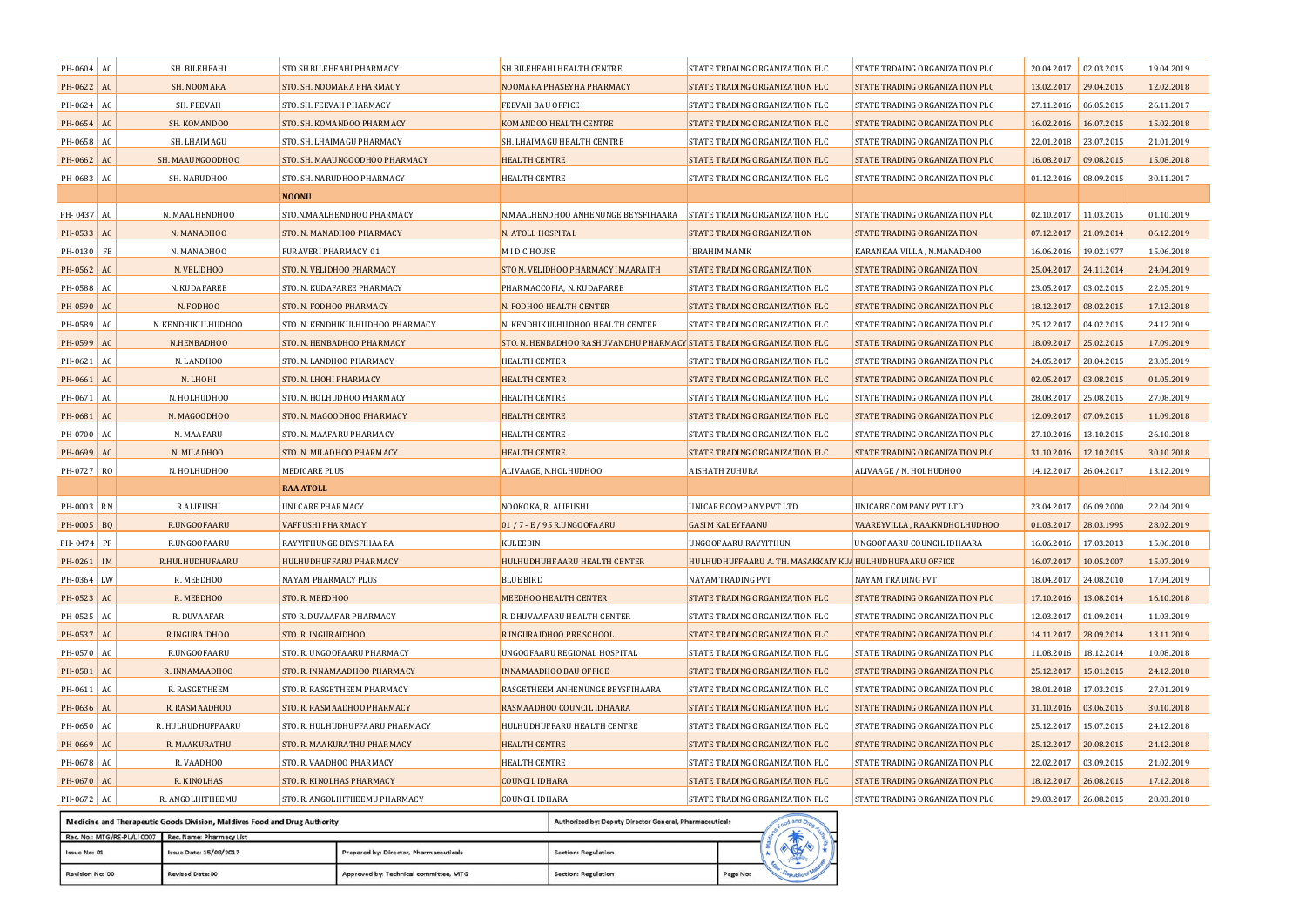| PH-0604 AC   |    | SH. BILEHFAHI      | STO.SH.BILEHFAHI PHARMACY        | SH.BILEHFAHI HEALTH CENTRE                                            | STATE TRDAING ORGANIZATION PLC                           | STATE TRDAING ORGANIZATION PLC | 20.04.2017            | 02.03.2015 | 19.04.2019 |
|--------------|----|--------------------|----------------------------------|-----------------------------------------------------------------------|----------------------------------------------------------|--------------------------------|-----------------------|------------|------------|
| PH-0622 AC   |    | SH. NOOMARA        | STO. SH. NOOMARA PHARMACY        | NOOMARA PHASEYHA PHARMACY                                             | STATE TRADING ORGANIZATION PLC                           | STATE TRADING ORGANIZATION PLC | 13.02.2017            | 29.04.2015 | 12.02.2018 |
| PH-0624 AC   |    | SH. FEEVAH         | STO. SH. FEEVAH PHARMACY         | FEEVAH BAU OFFICE                                                     | STATE TRADING ORGANIZATION PLC                           | STATE TRADING ORGANIZATION PLC | 27.11.2016            | 06.05.2015 | 26.11.2017 |
| PH-0654      | AC | SH. KOMANDOO       | STO. SH. KOMANDOO PHARMACY       | KOMANDOO HEALTH CENTRE                                                | STATE TRADING ORGANIZATION PLC                           | STATE TRADING ORGANIZATION PLC | 16.02.2016            | 16.07.2015 | 15.02.2018 |
| PH-0658 AC   |    | SH. LHAIMAGU       | STO. SH. LHAIMAGU PHARMACY       | SH. LHAIMAGU HEALTH CENTRE                                            | STATE TRADING ORGANIZATION PLC                           | STATE TRADING ORGANIZATION PLC | 22.01.2018            | 23.07.2015 | 21.01.2019 |
| PH-0662 AC   |    | SH. MAAUNGOODHOO   | STO. SH. MAAUNGOODHOO PHARMACY   | <b>HEALTH CENTRE</b>                                                  | STATE TRADING ORGANIZATION PLC                           | STATE TRADING ORGANIZATION PLC | 16.08.2017            | 09.08.2015 | 15.08.2018 |
| PH-0683 AC   |    | SH. NARUDHOO       | STO. SH. NARUDHOO PHARMACY       | HEALTH CENTRE                                                         | STATE TRADING ORGANIZATION PLC                           | STATE TRADING ORGANIZATION PLC | 01.12.2016            | 08.09.2015 | 30.11.2017 |
|              |    |                    | <b>NOONU</b>                     |                                                                       |                                                          |                                |                       |            |            |
| PH-0437 AC   |    | N. MAALHENDHOO     | STO.N.MAALHENDHOO PHARMACY       | N.MAALHENDHOO ANHENUNGE BEYSFIHAARA                                   | <b>STATE TRADING ORGANIZATION PLC</b>                    | STATE TRADING ORGANIZATION PLC | 02.10.2017            | 11.03.2015 | 01.10.2019 |
| PH-0533 AC   |    | N. MANADHOO        | STO. N. MANADHOO PHARMACY        | N. ATOLL HOSPITAL                                                     | STATE TRADING ORGANIZATION                               | STATE TRADING ORGANIZATION     | 07.12.2017 21.09.2014 |            | 06.12.2019 |
| PH-0130 FE   |    | N. MANADHOO        | FURAVERI PHARMACY 01             | MID CHOUSE                                                            | <b>IBRAHIM MANIK</b>                                     | KARANKAA VILLA , N.MANADHOO    | 16.06.2016            | 19.02.1977 | 15.06.2018 |
| PH-0562 AC   |    | N. VELIDHOO        | STO. N. VELIDHOO PHARMACY        | STO N. VELIDHOO PHARMACY IMAARAITH                                    | STATE TRADING ORGANIZATION                               | STATE TRADING ORGANIZATION     | 25.04.2017 24.11.2014 |            | 24.04.2019 |
| PH-0588 AC   |    | N. KUDAFAREE       | STO. N. KUDAFAREE PHARMACY       | PHARMACCOPIA, N. KUDAFAREE                                            | STATE TRADING ORGANIZATION PLC                           | STATE TRADING ORGANIZATION PLC | 23.05.2017            | 03.02.2015 | 22.05.2019 |
| PH-0590 AC   |    | N. FODHOO          | STO. N. FODHOO PHARMACY          | N. FODHOO HEALTH CENTER                                               | STATE TRADING ORGANIZATION PLC                           | STATE TRADING ORGANIZATION PLC | 18.12.2017            | 08.02.2015 | 17.12.2018 |
| PH-0589 AC   |    | N. KENDHIKULHUDHOO | STO. N. KENDHIKULHUDHOO PHARMACY | N. KENDHIKULHUDHOO HEALTH CENTER                                      | STATE TRADING ORGANIZATION PLC                           | STATE TRADING ORGANIZATION PLC | 25.12.2017            | 04.02.2015 | 24.12.2019 |
| PH-0599      | AC | N.HENBADHOO        | STO. N. HENBADHOO PHARMACY       | STO. N. HENBADHOO RASHUVANDHU PHARMACY STATE TRADING ORGANIZATION PLC |                                                          | STATE TRADING ORGANIZATION PLC | 18.09.2017            | 25.02.2015 | 17.09.2019 |
| PH-0621 AC   |    | N. LANDHOO         | STO. N. LANDHOO PHARMACY         | <b>HEALTH CENTER</b>                                                  | STATE TRADING ORGANIZATION PLC                           | STATE TRADING ORGANIZATION PLC | 24.05.2017            | 28.04.2015 | 23.05.2019 |
| PH-0661      | AC | N. LHOHI           | STO. N. LHOHI PHARMACY           | <b>HEALTH CENTER</b>                                                  | STATE TRADING ORGANIZATION PLC                           | STATE TRADING ORGANIZATION PLC | 02.05.2017            | 03.08.2015 | 01.05.2019 |
| PH-0671 AC   |    | N. HOLHUDHOO       | STO. N. HOLHUDHOO PHARMACY       | HEALTH CENTRE                                                         | STATE TRADING ORGANIZATION PLC                           | STATE TRADING ORGANIZATION PLC | 28.08.2017            | 25.08.2015 | 27.08.2019 |
| PH-0681 AC   |    | N. MAGOODHOO       | STO. N. MAGOODHOO PHARMACY       | <b>HEALTH CENTRE</b>                                                  | STATE TRADING ORGANIZATION PLC                           | STATE TRADING ORGANIZATION PLC | 12.09.2017            | 07.09.2015 | 11.09.2018 |
| PH-0700      | AC | N. MAAFARU         | STO. N. MAAFARU PHARMACY         | <b>HEALTH CENTRE</b>                                                  | STATE TRADING ORGANIZATION PLC                           | STATE TRADING ORGANIZATION PLC | 27.10.2016            | 13.10.2015 | 26.10.2018 |
| PH-0699 AC   |    | N. MILADHOO        | STO. N. MILADHOO PHARMACY        | <b>HEALTH CENTRE</b>                                                  | STATE TRADING ORGANIZATION PLC                           | STATE TRADING ORGANIZATION PLC | 31.10.2016            | 12.10.2015 | 30.10.2018 |
| PH-0727 RO   |    | N. HOLHUDHOO       | <b>MEDICARE PLUS</b>             | ALIVAAGE, N.HOLHUDHOO                                                 | <b>AISHATH ZUHURA</b>                                    | ALIVAAGE / N. HOLHUDHOO        | 14.12.2017            | 26.04.2017 | 13.12.2019 |
|              |    |                    | <b>RAA ATOLL</b>                 |                                                                       |                                                          |                                |                       |            |            |
| PH-0003 RN   |    | <b>R.ALIFUSHI</b>  | UNI CARE PHARMACY                | NOOKOKA, R. ALIFUSHI                                                  | UNICARE COMPANY PVT LTD                                  | UNICARE COMPANY PVT LTD        | 23.04.2017            | 06.09.2000 | 22.04.2019 |
| PH-0005 BQ   |    | R.UNGOOFAARU       | <b>VAFFUSHI PHARMACY</b>         | 01 / 7 - E / 95 R.UNGOOFAARU                                          | <b>GASIM KALEYFAANU</b>                                  | VAAREYVILLA, RAA.KNDHOLHUDHOO  | 01.03.2017            | 28.03.1995 | 28.02.2019 |
| PH-0474 PF   |    | R.UNGOOFAARU       | RAYYITHUNGE BEYSFIHAARA          | KULEEBIN                                                              | UNGOOFAARU RAYYITHUN                                     | UNGOOFAARU COUNCIL IDHAARA     | 16.06.2016            | 17.03.2013 | 15.06.2018 |
| PH-0261   IM |    | R.HULHUDHUFAARU    | <b>HULHUDHUFFARU PHARMACY</b>    | HULHUDHUHFAARU HEALTH CENTER                                          | HULHUDHUFFAARU A. TH. MASAKKAIY KUA HULHUDHUFAARU OFFICE |                                | 16.07.2017            | 10.05.2007 | 15.07.2019 |
| PH-0364 LW   |    | R. MEEDHOO         | <b>NAYAM PHARMACY PLUS</b>       | <b>BLUE BIRD</b>                                                      | <b>NAYAM TRADING PVT</b>                                 | NAYAM TRADING PVT              | 18.04.2017            | 24.08.2010 | 17.04.2019 |
| PH-0523      | AC | R. MEEDHOO         | STO. R. MEEDHOO                  | MEEDHOO HEALTH CENTER                                                 | STATE TRADING ORGANIZATION PLC                           | STATE TRADING ORGANIZATION PLC | 17.10.2016            | 13.08.2014 | 16.10.2018 |
| PH-0525 AC   |    | R. DUVAAFAR        | STO R. DUVAAFAR PHARMACY         | R. DHUVAAFARU HEALTH CENTER                                           | STATE TRADING ORGANIZATION PLC                           | STATE TRADING ORGANIZATION PLC | 12.03.2017            | 01.09.2014 | 11.03.2019 |
| PH-0537 AC   |    | R.INGURAIDHOO      | STO. R. INGURAIDHOO              | R.INGURAIDHOO PRE SCHOOL                                              | STATE TRADING ORGANIZATION PLC                           | STATE TRADING ORGANIZATION PLC | 14.11.2017            | 28.09.2014 | 13.11.2019 |
| PH-0570 AC   |    | R.UNGOOFAARU       | STO. R. UNGOOFAARU PHARMACY      | UNGOOFAARU REGIONAL HOSPITAL                                          | STATE TRADING ORGANIZATION PLC                           | STATE TRADING ORGANIZATION PLC | 11.08.2016            | 18.12.2014 | 10.08.2018 |
| PH-0581 AC   |    | R. INNAMAADHOO     | STO. R. INNAMAADHOO PHARMACY     | <b>INNAMAADHOO BAU OFFICE</b>                                         | STATE TRADING ORGANIZATION PLC                           | STATE TRADING ORGANIZATION PLC | 25.12.2017            | 15.01.2015 | 24.12.2018 |
| PH-0611      | AC | R. RASGETHEEM      | STO. R. RASGETHEEM PHARMACY      | RASGETHEEM ANHENUNGE BEYSFIHAARA                                      | STATE TRADING ORGANIZATION PLC                           | STATE TRADING ORGANIZATION PLC | 28.01.2018            | 17.03.2015 | 27.01.2019 |
| PH-0636 AC   |    | R. RASMAADHOO      | STO. R. RASMAADHOO PHARMACY      | RASMAADHOO COUNCIL IDHAARA                                            | STATE TRADING ORGANIZATION PLC                           | STATE TRADING ORGANIZATION PLC | 31.10.2016            | 03.06.2015 | 30.10.2018 |
| PH-0650 AC   |    | R. HULHUDHUFFAARU  | STO. R. HULHUDHUFFAARU PHARMACY  | HULHUDHUFFARU HEALTH CENTRE                                           | STATE TRADING ORGANIZATION PLC                           | STATE TRADING ORGANIZATION PLC | 25.12.2017            | 15.07.2015 | 24.12.2018 |
| PH-0669      | AC | R. MAAKURATHU      | STO. R. MAAKURATHU PHARMACY      | <b>HEALTH CENTRE</b>                                                  | STATE TRADING ORGANIZATION PLC                           | STATE TRADING ORGANIZATION PLC | 25.12.2017            | 20.08.2015 | 24.12.2018 |
| PH-0678 AC   |    | R. VAADHOO         | STO. R. VAADHOO PHARMACY         | <b>HEALTH CENTRE</b>                                                  | STATE TRADING ORGANIZATION PLC                           | STATE TRADING ORGANIZATION PLC | 22.02.2017            | 03.09.2015 | 21.02.2019 |
| PH-0670      | AC | R. KINOLHAS        | STO. R. KINOLHAS PHARMACY        | <b>COUNCIL IDHARA</b>                                                 | STATE TRADING ORGANIZATION PLC                           | STATE TRADING ORGANIZATION PLC | 18.12.2017            | 26.08.2015 | 17.12.2018 |
| PH-0672 AC   |    | R. ANGOLHITHEEMU   | STO. R. ANGOLHITHEEMU PHARMACY   | COUNCIL IDHARA                                                        | STATE TRADING ORGANIZATION PLC                           | STATE TRADING ORGANIZATION PLC | 29.03.2017 26.08.2015 |            | 28.03.2018 |
|              |    |                    |                                  |                                                                       |                                                          |                                |                       |            |            |

|                             | Medicine and Therapeutic Goods Division, Maldives Food and Drug Authority | Authorized by: Deputy Director General, Pharmaceuticals |                     |          |  |  |  |  |
|-----------------------------|---------------------------------------------------------------------------|---------------------------------------------------------|---------------------|----------|--|--|--|--|
| Rec. No.: MTG/RE-PL/LI 0007 | Rec. Name: Pharmacy List                                                  |                                                         |                     |          |  |  |  |  |
| Issue No: 01                | Issue Date: 15/08/2017                                                    | Prepared by: Director, Pharmaceuticals                  | Section: Regulation |          |  |  |  |  |
| Revision No: 00             | <b>Revised Date: 00</b>                                                   | Approved by: Technical committee, MTG                   | Section: Regulation | Page No: |  |  |  |  |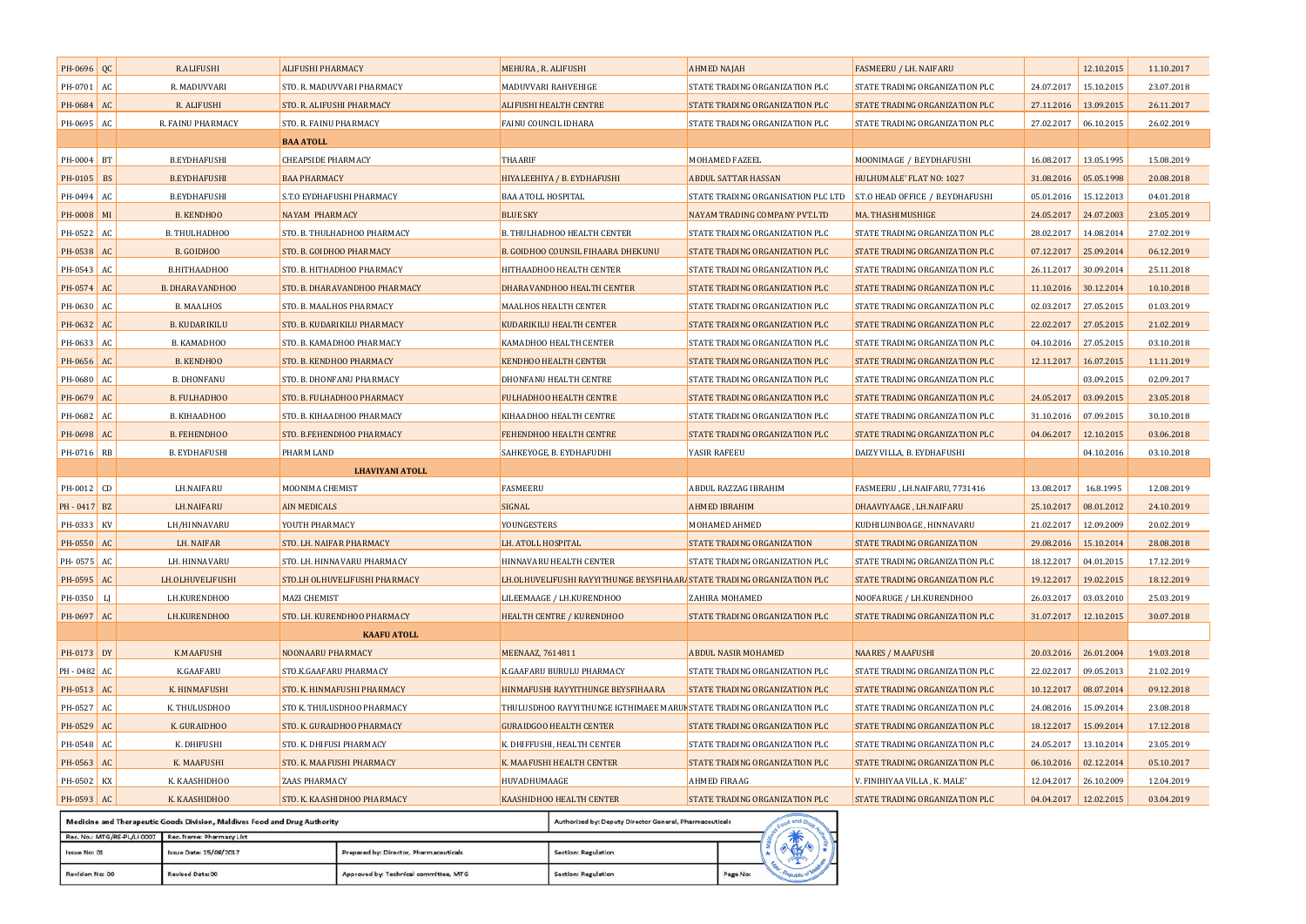| PH-0696            | QC | <b>R.ALIFUSHI</b>      | <b>ALIFUSHI PHARMACY</b>      | MEHURA, R. ALIFUSHI                                                     | <b>AHMED NAJAH</b>                                                  | <b>FASMEERU / LH. NAIFARU</b>  |                       | 12.10.2015 | 11.10.2017 |
|--------------------|----|------------------------|-------------------------------|-------------------------------------------------------------------------|---------------------------------------------------------------------|--------------------------------|-----------------------|------------|------------|
| PH-0701 AC         |    | R. MADUVVARI           | STO. R. MADUVVARI PHARMACY    | MADUVVARI RAHVEHIGE                                                     | STATE TRADING ORGANIZATION PLC                                      | STATE TRADING ORGANIZATION PLC | 24.07.2017            | 15.10.2015 | 23.07.2018 |
| PH-0684 AC         |    | R. ALIFUSHI            | STO. R. ALIFUSHI PHARMACY     | <b>ALIFUSHI HEALTH CENTRE</b>                                           | STATE TRADING ORGANIZATION PLC                                      | STATE TRADING ORGANIZATION PLC | 27.11.2016            | 13.09.2015 | 26.11.2017 |
| PH-0695 AC         |    | R. FAINU PHARMACY      | STO. R. FAINU PHARMACY        | FAINU COUNCIL IDHARA                                                    | STATE TRADING ORGANIZATION PLC                                      | STATE TRADING ORGANIZATION PLC | 27.02.2017            | 06.10.2015 | 26.02.2019 |
|                    |    |                        | <b>BAA ATOLL</b>              |                                                                         |                                                                     |                                |                       |            |            |
| PH-0004 BT         |    | <b>B.EYDHAFUSHI</b>    | <b>CHEAPSIDE PHARMACY</b>     | THAARIF                                                                 | <b>MOHAMED FAZEEL</b>                                               | MOONIMAGE / B.EYDHAFUSHI       | 16.08.2017            | 13.05.1995 | 15.08.2019 |
| PH-0105 BS         |    | <b>B.EYDHAFUSHI</b>    | <b>BAA PHARMACY</b>           | HIYALEEHIYA / B. EYDHAFUSHI                                             | <b>ABDUL SATTAR HASSAN</b>                                          | HULHUMALE' FLAT NO: 1027       | 31.08.2016            | 05.05.1998 | 20.08.2018 |
| PH-0494 AC         |    | <b>B.EYDHAFUSHI</b>    | S.T.O EYDHAFUSHI PHARMACY     | BAA ATOLL HOSPITAL                                                      | STATE TRADING ORGANISATION PLC LTD S.T.O HEAD OFFICE / B.EYDHAFUSHI |                                | 05.01.2016            | 15.12.2013 | 04.01.2018 |
| PH-0008            | MI | <b>B. KENDHOO</b>      | <b>NAYAM PHARMACY</b>         | <b>BLUE SKY</b>                                                         | NAYAM TRADING COMPANY PVT.LTD                                       | MA. THASHIMUSHIGE              | 24.05.2017            | 24.07.2003 | 23.05.2019 |
| PH-0522 AC         |    | B. THULHADHOO          | STO. B. THULHADHOO PHARMACY   | B. THULHADHOO HEALTH CENTER                                             | STATE TRADING ORGANIZATION PLC                                      | STATE TRADING ORGANIZATION PLC | 28.02.2017            | 14.08.2014 | 27.02.2019 |
| PH-0538            | AC | <b>B. GOIDHOO</b>      | STO. B. GOIDHOO PHARMACY      | <b>B. GOIDHOO COUNSIL FIHAARA DHEKUNU</b>                               | STATE TRADING ORGANIZATION PLC                                      | STATE TRADING ORGANIZATION PLC | 07.12.2017            | 25.09.2014 | 06.12.2019 |
| PH-0543 AC         |    | B.HITHAADHOO           | STO. B. HITHADHOO PHARMACY    | HITHAADHOO HEALTH CENTER                                                | STATE TRADING ORGANIZATION PLC                                      | STATE TRADING ORGANIZATION PLC | 26.11.2017            | 30.09.2014 | 25.11.2018 |
| PH-0574            | AC | <b>B. DHARAVANDHOO</b> | STO. B. DHARAVANDHOO PHARMACY | <b>DHARAVANDHOO HEALTH CENTER</b>                                       | STATE TRADING ORGANIZATION PLC                                      | STATE TRADING ORGANIZATION PLC | 11.10.2016            | 30.12.2014 | 10.10.2018 |
| PH-0630 AC         |    | <b>B. MAALHOS</b>      | STO. B. MAALHOS PHARMACY      | MAALHOS HEALTH CENTER                                                   | STATE TRADING ORGANIZATION PLC                                      | STATE TRADING ORGANIZATION PLC | 02.03.2017            | 27.05.2015 | 01.03.2019 |
| PH-0632            | AC | <b>B. KUDARIKILU</b>   | STO. B. KUDARIKILU PHARMACY   | <b>KUDARIKILU HEALTH CENTER</b>                                         | STATE TRADING ORGANIZATION PLC                                      | STATE TRADING ORGANIZATION PLC | 22.02.2017            | 27.05.2015 | 21.02.2019 |
| PH-0633            | AC | B. KAMADHOO            | STO. B. KAMADHOO PHARMACY     | KAMADHOO HEALTH CENTER                                                  | STATE TRADING ORGANIZATION PLC                                      | STATE TRADING ORGANIZATION PLC | 04.10.2016            | 27.05.2015 | 03.10.2018 |
| PH-0656            | AC | <b>B. KENDHOO</b>      | STO. B. KENDHOO PHARMACY      | <b>KENDHOO HEALTH CENTER</b>                                            | STATE TRADING ORGANIZATION PLC                                      | STATE TRADING ORGANIZATION PLC | 12.11.2017            | 16.07.2015 | 11.11.2019 |
| PH-0680 AC         |    | <b>B. DHONFANU</b>     | STO. B. DHONFANU PHARMACY     | DHONFANU HEALTH CENTRE                                                  | STATE TRADING ORGANIZATION PLC                                      | STATE TRADING ORGANIZATION PLC |                       | 03.09.2015 | 02.09.2017 |
| PH-0679 AC         |    | <b>B. FULHADHOO</b>    | STO. B. FULHADHOO PHARMACY    | FULHADHOO HEALTH CENTRE                                                 | STATE TRADING ORGANIZATION PLC                                      | STATE TRADING ORGANIZATION PLC | 24.05.2017            | 03.09.2015 | 23.05.2018 |
| PH-0682 AC         |    | B. KIHAADHOO           | STO. B. KIHAADHOO PHARMACY    | KIHAADHOO HEALTH CENTRE                                                 | STATE TRADING ORGANIZATION PLC                                      | STATE TRADING ORGANIZATION PLC | 31.10.2016            | 07.09.2015 | 30.10.2018 |
| PH-0698            | AC | <b>B. FEHENDHOO</b>    | STO. B.FEHENDHOO PHARMACY     | FEHENDHOO HEALTH CENTRE                                                 | STATE TRADING ORGANIZATION PLC                                      | STATE TRADING ORGANIZATION PLC | 04.06.2017            | 12.10.2015 | 03.06.2018 |
| PH-0716 RB         |    | <b>B. EYDHAFUSHI</b>   | PHARM LAND                    | SAHKEYOGE, B. EYDHAFUDHI                                                | YASIR RAFEEU                                                        | DAIZY VILLA, B. EYDHAFUSHI     |                       | 04.10.2016 | 03.10.2018 |
|                    |    |                        |                               |                                                                         |                                                                     |                                |                       |            |            |
|                    |    |                        | <b>LHAVIYANI ATOLL</b>        |                                                                         |                                                                     |                                |                       |            |            |
| PH-0012 CD         |    | LH.NAIFARU             | MOONIMA CHEMIST               | FASMEERU                                                                | ABDUL RAZZAG IBRAHIM                                                | FASMEERU, LH.NAIFARU, 7731416  | 13.08.2017            | 16.8.1995  | 12.08.2019 |
| PH-0417 BZ         |    | <b>LH.NAIFARU</b>      | <b>AIN MEDICALS</b>           | SIGNAL                                                                  | <b>AHMED IBRAHIM</b>                                                | DHAAVIYAAGE, LH.NAIFARU        | 25.10.2017            | 08.01.2012 | 24.10.2019 |
| PH-0333 KV         |    | LH/HINNAVARU           | YOUTH PHARMACY                | YOUNGESTERS                                                             | <b>MOHAMED AHMED</b>                                                | KUDHILUNBOAGE, HINNAVARU       | 21.02.2017            | 12.09.2009 | 20.02.2019 |
| PH-0550 AC         |    | LH. NAIFAR             | STO. LH. NAIFAR PHARMACY      | LH. ATOLL HOSPITAL                                                      | STATE TRADING ORGANIZATION                                          | STATE TRADING ORGANIZATION     | 29.08.2016            | 15.10.2014 | 28.08.2018 |
| PH-0575 AC         |    | LH. HINNAVARU          | STO. LH. HINNAVARU PHARMACY   | HINNAVARU HEALTH CENTER                                                 | STATE TRADING ORGANIZATION PLC                                      | STATE TRADING ORGANIZATION PLC | 18.12.2017            | 04.01.2015 | 17.12.2019 |
| PH-0595 AC         |    | LH.OLHUVELIFUSHI       | STO.LH OLHUVELIFUSHI PHARMACY | LH.OLHUVELIFUSHI RAYYITHUNGE BEYSFIHAAR. STATE TRADING ORGANIZATION PLC |                                                                     | STATE TRADING ORGANIZATION PLC | 19.12.2017            | 19.02.2015 | 18.12.2019 |
| PH-0350 $\vert$ LJ |    | LH.KURENDHOO           | <b>MAZI CHEMIST</b>           | LILEEMAAGE / LH.KURENDHOO                                               | <b>ZAHIRA MOHAMED</b>                                               | NOOFARUGE / LH.KURENDHOO       | 26.03.2017            | 03.03.2010 | 25.03.2019 |
| PH-0697 AC         |    | LH.KURENDHOO           | STO. LH. KURENDHOO PHARMACY   | <b>HEALTH CENTRE / KURENDHOO</b>                                        | STATE TRADING ORGANIZATION PLC                                      | STATE TRADING ORGANIZATION PLC | 31.07.2017            | 12.10.2015 | 30.07.2018 |
|                    |    |                        | <b>KAAFU ATOLL</b>            |                                                                         |                                                                     |                                |                       |            |            |
| PH-0173 DY         |    | K.MAAFUSHI             | NOONAARU PHARMACY             | MEENAAZ, 7614811                                                        | ABDUL NASIR MOHAMED                                                 | <b>NAARES / MAAFUSHI</b>       | 20.03.2016 26.01.2004 |            | 19.03.2018 |
| PH-0482 AC         |    | K.GAAFARU              | STO.K.GAAFARU PHARMACY        | K.GAAFARU BURULU PHARMACY                                               | STATE TRADING ORGANIZATION PLC                                      | STATE TRADING ORGANIZATION PLC | 22.02.2017            | 09.05.2013 | 21.02.2019 |
| PH-0513 AC         |    | K. HINMAFUSHI          | STO. K. HINMAFUSHI PHARMACY   | HINMAFUSHI RAYYITHUNGE BEYSFIHAARA                                      | STATE TRADING ORGANIZATION PLC                                      | STATE TRADING ORGANIZATION PLC | 10.12.2017            | 08.07.2014 | 09.12.2018 |
| PH-0527 AC         |    | K. THULUSDHOO          | STO K. THULUSDHOO PHARMACY    | THULUSDHOO RAYYITHUNGE IGTHIMAEE MARUF STATE TRADING ORGANIZATION PLC   |                                                                     | STATE TRADING ORGANIZATION PLC | 24.08.2016            | 15.09.2014 | 23.08.2018 |
| PH-0529 AC         |    | K. GURAIDHOO           | STO. K. GURAIDHOO PHARMACY    | <b>GURAIDGOO HEALTH CENTER</b>                                          | STATE TRADING ORGANIZATION PLC                                      | STATE TRADING ORGANIZATION PLC | 18.12.2017            | 15.09.2014 | 17.12.2018 |
| PH-0548            | AC | K. DHIFUSHI            | STO. K. DHIFUSI PHARMACY      | K. DHIFFUSHI, HEALTH CENTER                                             | STATE TRADING ORGANIZATION PLC                                      | STATE TRADING ORGANIZATION PLC | 24.05.2017            | 13.10.2014 | 23.05.2019 |
| PH-0563 AC         |    | K. MAAFUSHI            | STO. K. MAAFUSHI PHARMACY     | K. MAAFUSHI HEALTH CENTER                                               | STATE TRADING ORGANIZATION PLC                                      | STATE TRADING ORGANIZATION PLC | 06.10.2016            | 02.12.2014 | 05.10.2017 |
| PH-0502 KX         |    | K. KAASHIDHOO          | <b>ZAAS PHARMACY</b>          | HUVADHUMAAGE                                                            | AHMED FIRAAG                                                        | V. FINIHIYAA VILLA, K. MALE'   | 12.04.2017            | 26.10.2009 | 12.04.2019 |
| PH-0593 AC         |    | K. KAASHIDHOO          | STO. K. KAASHIDHOO PHARMACY   | KAASHIDHOO HEALTH CENTER                                                | STATE TRADING ORGANIZATION PLC                                      | STATE TRADING ORGANIZATION PLC | 04.04.2017            | 12.02.2015 | 03.04.2019 |

| Rec. No.: MTG/RE-PL/LI 0007 Rec. Name: Pharmacy List |                        |                                        |                     |          |  |  |  |
|------------------------------------------------------|------------------------|----------------------------------------|---------------------|----------|--|--|--|
| Issue No: 01                                         | Issue Date: 15/08/2017 | Prepared by: Director, Pharmaceuticals | Section: Regulation |          |  |  |  |
| Revision No: 00                                      | Revised Date: 00       | Approved by: Technical committee, MTG  | Section: Regulation | Page No: |  |  |  |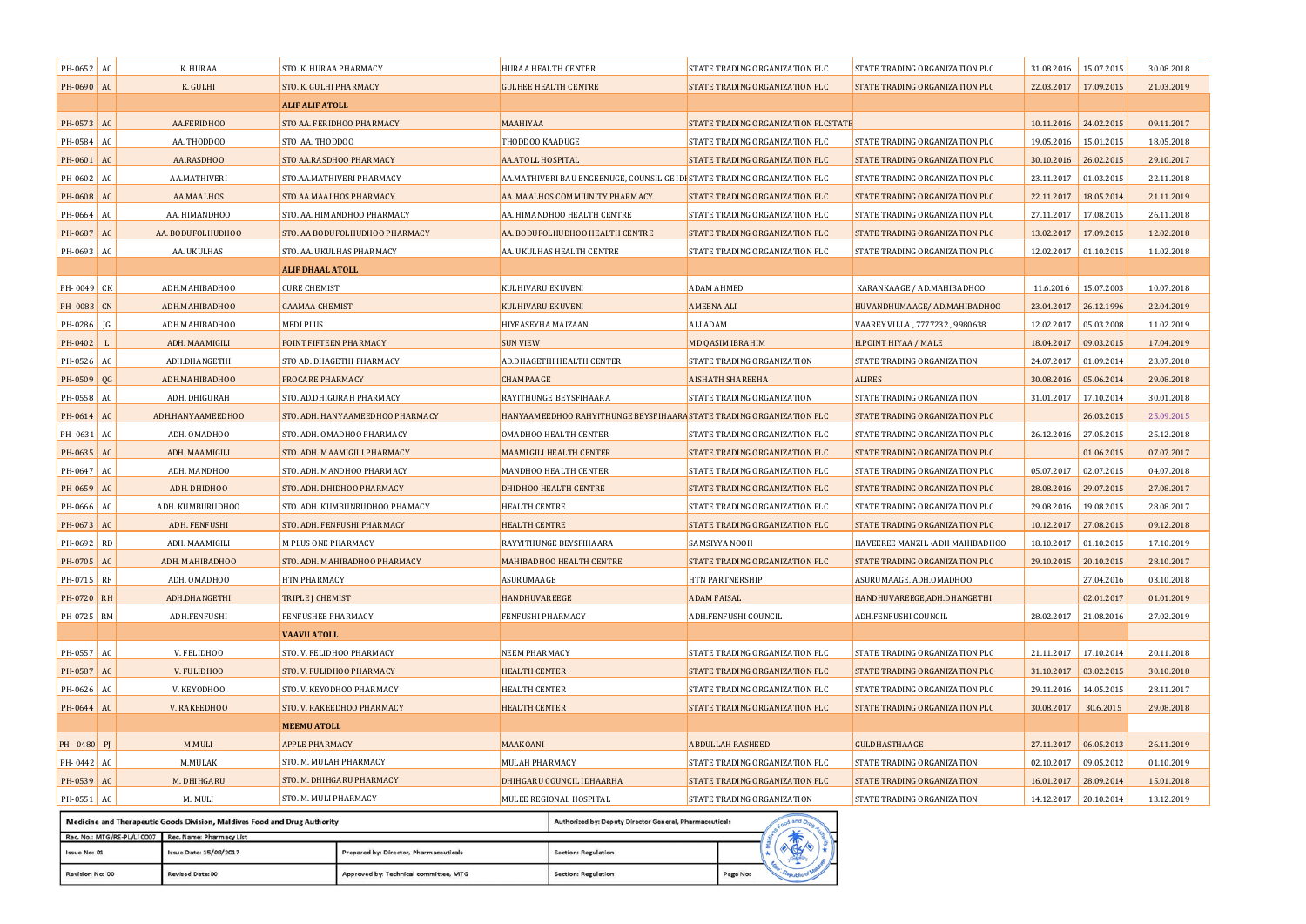| PH-0652 AC     |     | K. HURAA                                                                  | STO. K. HURAA PHARMACY           | HURAA HEALTH CENTER  |                                                         | STATE TRADING ORGANIZATION PLC                                                           | STATE TRADING ORGANIZATION PLC        | 31.08.2016            | 15.07.2015 | 30.08.2018 |
|----------------|-----|---------------------------------------------------------------------------|----------------------------------|----------------------|---------------------------------------------------------|------------------------------------------------------------------------------------------|---------------------------------------|-----------------------|------------|------------|
| PH-0690 AC     |     | K. GULHI                                                                  | STO. K. GULHI PHARMACY           |                      | <b>GULHEE HEALTH CENTRE</b>                             | STATE TRADING ORGANIZATION PLC                                                           | STATE TRADING ORGANIZATION PLC        | 22.03.2017            | 17.09.2015 | 21.03.2019 |
|                |     |                                                                           | <b>ALIF ALIF ATOLL</b>           |                      |                                                         |                                                                                          |                                       |                       |            |            |
| PH-0573 AC     |     | AA.FERIDHOO                                                               | STO AA. FERIDHOO PHARMACY        | MAAHIYAA             |                                                         | STATE TRADING ORGANIZATION PLCSTATE                                                      |                                       | 10.11.2016            | 24.02.2015 | 09.11.2017 |
| PH-0584 AC     |     | AA. THODDOO                                                               | STO AA. THODDOO                  | THODDOO KAADUGE      |                                                         | STATE TRADING ORGANIZATION PLC                                                           | STATE TRADING ORGANIZATION PLC        | 19.05.2016            | 15.01.2015 | 18.05.2018 |
| PH-0601 AC     |     | AA.RASDHOO                                                                | STO AA.RASDHOO PHARMACY          | AA.ATOLL HOSPITAL    |                                                         | STATE TRADING ORGANIZATION PLC                                                           | STATE TRADING ORGANIZATION PLC        | 30.10.2016            | 26.02.2015 | 29.10.2017 |
| PH-0602 AC     |     | AA.MATHIVERI                                                              | STO.AA.MATHIVERI PHARMACY        |                      |                                                         | AA.MATHIVERI BAU ENGEENUGE, COUNSIL GE IDI <mark>:</mark> STATE TRADING ORGANIZATION PLC | STATE TRADING ORGANIZATION PLC        | 23.11.2017            | 01.03.2015 | 22.11.2018 |
| PH-0608 AC     |     | AA.MAALHOS                                                                | STO.AA.MAALHOS PHARMACY          |                      | AA. MAALHOS COMMIUNITY PHARMACY                         | STATE TRADING ORGANIZATION PLC                                                           | STATE TRADING ORGANIZATION PLC        | 22.11.2017            | 18.05.2014 | 21.11.2019 |
| PH-0664        | AC  | AA. HIMANDHOO                                                             | STO. AA. HIMANDHOO PHARMACY      |                      | AA. HIMANDHOO HEALTH CENTRE                             | STATE TRADING ORGANIZATION PLC                                                           | STATE TRADING ORGANIZATION PLC        | 27.11.2017            | 17.08.2015 | 26.11.2018 |
| PH-0687 AC     |     | AA. BODUFOLHUDHOO                                                         | STO. AA BODUFOLHUDHOO PHARMACY   |                      | AA. BODUFOLHUDHOO HEALTH CENTRE                         | STATE TRADING ORGANIZATION PLC                                                           | <b>STATE TRADING ORGANIZATION PLC</b> | 13.02.2017            | 17.09.2015 | 12.02.2018 |
| PH-0693 AC     |     | AA. UKULHAS                                                               | STO. AA. UKULHAS PHARMACY        |                      | AA. UKULHAS HEALTH CENTRE                               | STATE TRADING ORGANIZATION PLC                                                           | STATE TRADING ORGANIZATION PLC        | 12.02.2017            | 01.10.2015 | 11.02.2018 |
|                |     |                                                                           | <b>ALIF DHAAL ATOLL</b>          |                      |                                                         |                                                                                          |                                       |                       |            |            |
| PH-0049 CK     |     | ADH.MAHIBADHOO                                                            | <b>CURE CHEMIST</b>              | KULHIVARU EKUVENI    |                                                         | <b>ADAM AHMED</b>                                                                        | KARANKAAGE / AD.MAHIBADHOO            | 11.6.2016             | 15.07.2003 | 10.07.2018 |
| PH-0083 CN     |     | ADH.MAHIBADHOO                                                            | <b>GAAMAA CHEMIST</b>            | KULHIVARU EKUVENI    |                                                         | <b>AMEENA ALI</b>                                                                        | HUVANDHUMAAGE/ AD.MAHIBADHOO          | 23.04.2017            | 26.12.1996 | 22.04.2019 |
| PH-0286        | IG  | ADH.MAHIBADHOO                                                            | MEDI PLUS                        | HIYFASEYHA MAIZAAN   |                                                         | <b>ALI ADAM</b>                                                                          | VAAREY VILLA, 7777232, 9980638        | 12.02.2017            | 05.03.2008 | 11.02.2019 |
| PH-0402        | - L | ADH. MAAMIGILI                                                            | POINT FIFTEEN PHARMACY           | <b>SUN VIEW</b>      |                                                         | MD QASIM IBRAHIM                                                                         | H.POINT HIYAA / MALE                  | 18.04.2017            | 09.03.2015 | 17.04.2019 |
| PH-0526        | AC  | ADH.DHANGETHI                                                             | STO AD. DHAGETHI PHARMACY        |                      | AD.DHAGETHI HEALTH CENTER                               | STATE TRADING ORGANIZATION                                                               | STATE TRADING ORGANIZATION            | 24.07.2017            | 01.09.2014 | 23.07.2018 |
| PH-0509 QG     |     | ADH.MAHIBADHOO                                                            | PROCARE PHARMACY                 | CHAMPAAGE            |                                                         | <b>AISHATH SHAREEHA</b>                                                                  | <b>ALIRES</b>                         | 30.08.2016            | 05.06.2014 | 29.08.2018 |
| PH-0558 AC     |     | ADH. DHIGURAH                                                             | STO. AD.DHIGURAH PHARMACY        |                      | RAYITHUNGE BEYSFIHAARA                                  | STATE TRADING ORGANIZATION                                                               | STATE TRADING ORGANIZATION            | 31.01.2017            | 17.10.2014 | 30.01.2018 |
| PH-0614 AC     |     | ADH.HANYAAMEEDHOO                                                         | STO. ADH. HANYAAMEEDHOO PHARMACY |                      |                                                         | HANYAAMEEDHOO RAHYITHUNGE BEYSFIHAARA STATE TRADING ORGANIZATION PLC                     | STATE TRADING ORGANIZATION PLC        |                       | 26.03.2015 | 25.09.2015 |
| PH-0631        | AC  | ADH. OMADHOO                                                              | STO. ADH. OMADHOO PHARMACY       |                      | <b>OMADHOO HEALTH CENTER</b>                            | STATE TRADING ORGANIZATION PLC                                                           | STATE TRADING ORGANIZATION PLC        | 26.12.2016            | 27.05.2015 | 25.12.2018 |
| PH-0635 AC     |     | ADH. MAAMIGILI                                                            | STO. ADH. MAAMIGILI PHARMACY     |                      | MAAMIGILI HEALTH CENTER                                 | STATE TRADING ORGANIZATION PLC                                                           | STATE TRADING ORGANIZATION PLC        |                       | 01.06.2015 | 07.07.2017 |
| PH-0647 AC     |     | ADH. MANDHOO                                                              | STO. ADH. MANDHOO PHARMACY       |                      | MANDHOO HEALTH CENTER                                   | STATE TRADING ORGANIZATION PLC                                                           | STATE TRADING ORGANIZATION PLC        | 05.07.2017            | 02.07.2015 | 04.07.2018 |
| PH-0659        | AC  | ADH. DHIDHOO                                                              | STO. ADH. DHIDHOO PHARMACY       |                      | <b>DHIDHOO HEALTH CENTRE</b>                            | STATE TRADING ORGANIZATION PLC                                                           | STATE TRADING ORGANIZATION PLC        | 28.08.2016            | 29.07.2015 | 27.08.2017 |
| PH-0666 AC     |     | ADH. KUMBURUDHOO                                                          | STO. ADH. KUMBUNRUDHOO PHAMACY   | HEALTH CENTRE        |                                                         | STATE TRADING ORGANIZATION PLC                                                           | STATE TRADING ORGANIZATION PLC        | 29.08.2016            | 19.08.2015 | 28.08.2017 |
| PH-0673 AC     |     | ADH. FENFUSHI                                                             | STO. ADH. FENFUSHI PHARMACY      | <b>HEALTH CENTRE</b> |                                                         | STATE TRADING ORGANIZATION PLC                                                           | STATE TRADING ORGANIZATION PLC        | 10.12.2017            | 27.08.2015 | 09.12.2018 |
| PH-0692 RD     |     | ADH. MAAMIGILI                                                            | <b>M PLUS ONE PHARMACY</b>       |                      | RAYYITHUNGE BEYSFIHAARA                                 | SAMSIYYA NOOH                                                                            | HAVEEREE MANZIL .ADH MAHIBADHOO       | 18.10.2017            | 01.10.2015 | 17.10.2019 |
| PH-0705 AC     |     | ADH. MAHIBADHOO                                                           | STO. ADH. MAHIBADHOO PHARMACY    |                      | <b>MAHIBADHOO HEALTH CENTRE</b>                         | STATE TRADING ORGANIZATION PLC                                                           | STATE TRADING ORGANIZATION PLC        | 29.10.2015            | 20.10.2015 | 28.10.2017 |
| PH-0715 RF     |     | ADH. OMADHOO                                                              | HTN PHARMACY                     | ASURUMAAGE           |                                                         | HTN PARTNERSHIP                                                                          | ASURUMAAGE, ADH.OMADHOO               |                       | 27.04.2016 | 03.10.2018 |
| PH-0720 RH     |     | ADH.DHANGETHI                                                             | <b>TRIPLE J CHEMIST</b>          | HANDHUVAREEGE        |                                                         | <b>ADAM FAISAL</b>                                                                       | HANDHUVAREEGE, ADH.DHANGETHI          |                       | 02.01.2017 | 01.01.2019 |
| PH-0725 RM     |     | ADH.FENFUSHI                                                              | <b>FENFUSHEE PHARMACY</b>        | FENFUSHI PHARMACY    |                                                         | ADH.FENFUSHI COUNCIL                                                                     | ADH.FENFUSHI COUNCIL                  | 28.02.2017            | 21.08.2016 | 27.02.2019 |
|                |     |                                                                           | <b>VAAVU ATOLL</b>               |                      |                                                         |                                                                                          |                                       |                       |            |            |
| PH-0557 AC     |     | V. FELIDHOO                                                               | STO. V. FELIDHOO PHARMACY        | NEEM PHARMACY        |                                                         | STATE TRADING ORGANIZATION PLC                                                           | STATE TRADING ORGANIZATION PLC        | 21.11.2017            | 17.10.2014 | 20.11.2018 |
| PH-0587 AC     |     | V. FULIDHOO                                                               | STO. V. FULIDHOO PHARMACY        | <b>HEALTH CENTER</b> |                                                         | STATE TRADING ORGANIZATION PLC                                                           | STATE TRADING ORGANIZATION PLC        | 31.10.2017            | 03.02.2015 | 30.10.2018 |
| PH-0626 AC     |     | V. KEYODHOO                                                               | STO. V. KEYODHOO PHARMACY        | <b>HEALTH CENTER</b> |                                                         | STATE TRADING ORGANIZATION PLC                                                           | STATE TRADING ORGANIZATION PLC        | 29.11.2016            | 14.05.2015 | 28.11.2017 |
| PH-0644 AC     |     | V. RAKEEDHOO                                                              | STO. V. RAKEEDHOO PHARMACY       | <b>HEALTH CENTER</b> |                                                         | STATE TRADING ORGANIZATION PLC                                                           | STATE TRADING ORGANIZATION PLC        | 30.08.2017            | 30.6.2015  | 29.08.2018 |
|                |     |                                                                           | <b>MEEMU ATOLL</b>               |                      |                                                         |                                                                                          |                                       |                       |            |            |
| $PH - 0480$ PJ |     | M.MULI                                                                    | <b>APPLE PHARMACY</b>            | MAAKOANI             |                                                         | <b>ABDULLAH RASHEED</b>                                                                  | <b>GULDHASTHAAGE</b>                  | 27.11.2017            | 06.05.2013 | 26.11.2019 |
| PH-0442 AC     |     | M.MULAK                                                                   | STO. M. MULAH PHARMACY           | MULAH PHARMACY       |                                                         | STATE TRADING ORGANIZATION PLC                                                           | STATE TRADING ORGANIZATION            | 02.10.2017            | 09.05.2012 | 01.10.2019 |
| PH-0539 AC     |     | M. DHIHGARU                                                               | STO. M. DHIHGARU PHARMACY        |                      | DHIHGARU COUNCIL IDHAARHA                               | STATE TRADING ORGANIZATION PLC                                                           | STATE TRADING ORGANIZATION            | 16.01.2017 28.09.2014 |            | 15.01.2018 |
| PH-0551 AC     |     | M. MULI                                                                   | STO. M. MULI PHARMACY            |                      | MULEE REGIONAL HOSPITAL                                 | STATE TRADING ORGANIZATION                                                               | STATE TRADING ORGANIZATION            | 14.12.2017            | 20.10.2014 | 13.12.2019 |
|                |     | Medicine and Therapeutic Goods Division, Maldives Food and Drug Authority |                                  |                      | Authorized by: Deputy Director General, Pharmaceuticals | od and Dru                                                                               |                                       |                       |            |            |

| Rec. No.: MTG/RE-PL/LI 0007 | Rec. Name: Pharmacy List |                                        |                     |          | י הו |  |
|-----------------------------|--------------------------|----------------------------------------|---------------------|----------|------|--|
| Issue No: 01                | Issue Date: 15/08/2017   | Prepared by: Director, Pharmaceuticals | Section: Regulation |          |      |  |
| Revision No: 00             | Revised Date: 00         | Approved by: Technical committee, MTG  | Section: Regulation | Page No: |      |  |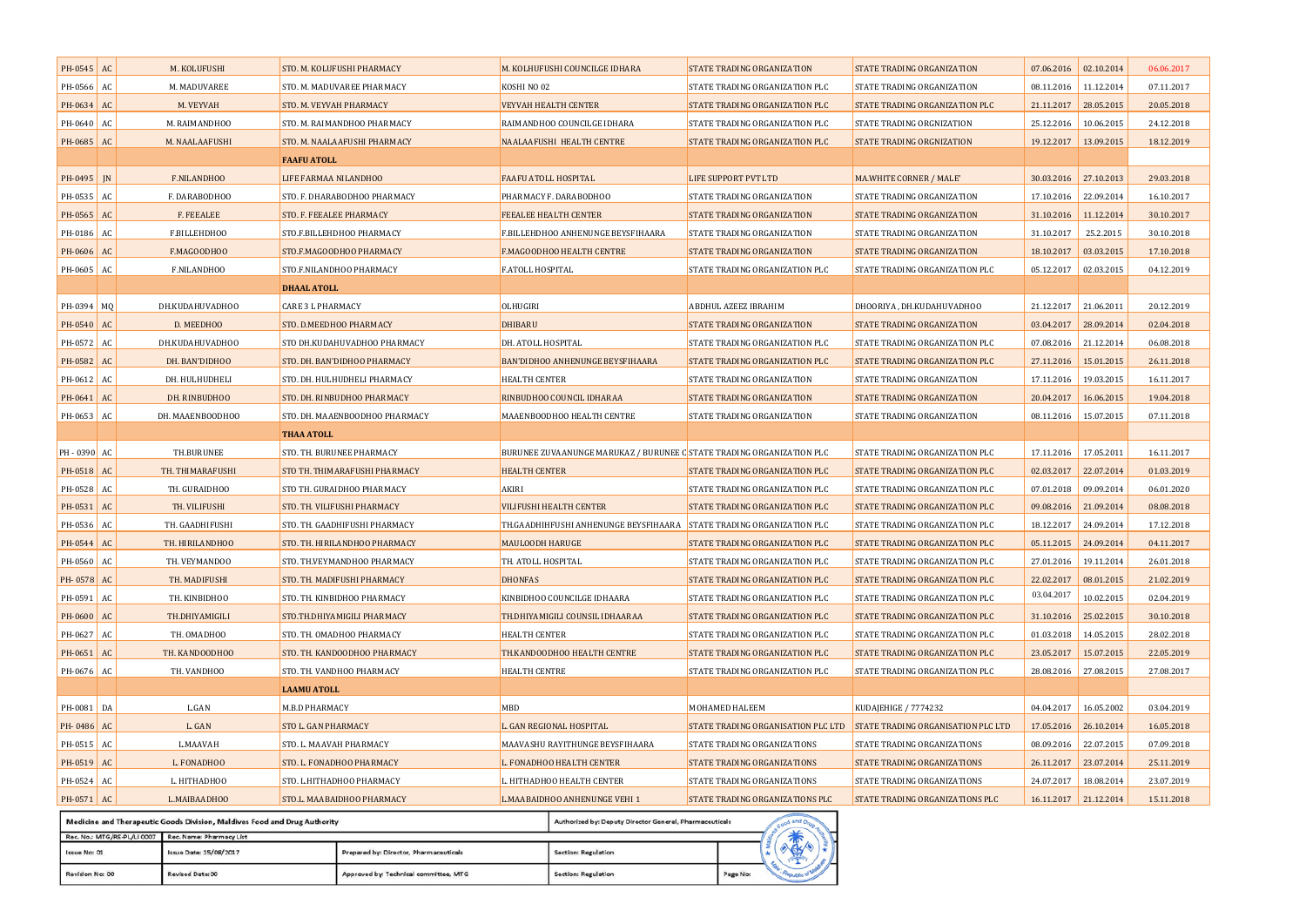| PH-0545 AC |    | M. KOLUFUSHI     | STO. M. KOLUFUSHI PHARMACY     | M. KOLHUFUSHI COUNCILGE IDHARA                                        | STATE TRADING ORGANIZATION         | STATE TRADING ORGANIZATION         | 07.06.2016 02.10.2014   |            | 06.06.2017 |
|------------|----|------------------|--------------------------------|-----------------------------------------------------------------------|------------------------------------|------------------------------------|-------------------------|------------|------------|
| PH-0566    | AC | M. MADUVAREE     | STO. M. MADUVAREE PHARMACY     | KOSHI NO 02                                                           | STATE TRADING ORGANIZATION PLC     | STATE TRADING ORGANIZATION         | 08.11.2016 11.12.2014   |            | 07.11.2017 |
| PH-0634 AC |    | M. VEYVAH        | <b>STO. M. VEYVAH PHARMACY</b> | <b>VEYVAH HEALTH CENTER</b>                                           | STATE TRADING ORGANIZATION PLC     | STATE TRADING ORGANIZATION PLC     | 21.11.2017 28.05.2015   |            | 20.05.2018 |
| PH-0640    | AC | M. RAIMANDHOO    | STO. M. RAIMANDHOO PHARMACY    | RAIMANDHOO COUNCILGE IDHARA                                           | STATE TRADING ORGANIZATION PLC     | STATE TRADING ORGNIZATION          | 25.12.2016              | 10.06.2015 | 24.12.2018 |
| PH-0685 AC |    | M. NAALAAFUSHI   | STO. M. NAALAAFUSHI PHARMACY   | NAALAAFUSHI HEALTH CENTRE                                             | STATE TRADING ORGANIZATION PLC     | STATE TRADING ORGNIZATION          | 19.12.2017 13.09.2015   |            | 18.12.2019 |
|            |    |                  | <b>FAAFU ATOLL</b>             |                                                                       |                                    |                                    |                         |            |            |
| PH-0495    | IN | F.NILANDHOO      | LIFE FARMAA NILANDHOO          | FAAFU ATOLL HOSPITAL                                                  | <b>LIFE SUPPORT PVT LTD</b>        | MA.WHITE CORNER / MALE'            | 30.03.2016   27.10.2013 |            | 29.03.2018 |
| PH-0535 AC |    | F. DARABODHOO    | STO. F. DHARABODHOO PHARMACY   | PHARMACY F. DARABODHOO                                                | STATE TRADING ORGANIZATION         | STATE TRADING ORGANIZATION         | 17.10.2016 22.09.2014   |            | 16.10.2017 |
| PH-0565    | AC | F. FEEALEE       | STO. F. FEEALEE PHARMACY       | FEEALEE HEALTH CENTER                                                 | STATE TRADING ORGANIZATION         | STATE TRADING ORGANIZATION         | 31.10.2016 11.12.2014   |            | 30.10.2017 |
| PH-0186    | AC | F.BILLEHDHOO     | STO.F.BILLEHDHOO PHARMACY      | F.BILLEHDHOO ANHENUNGE BEYSFIHAARA                                    | STATE TRADING ORGANIZATION         | STATE TRADING ORGANIZATION         | 31.10.2017              | 25.2.2015  | 30.10.2018 |
| PH-0606    | AC | F.MAGOODHOO      | STO.F.MAGOODHOO PHARMACY       | F.MAGOODHOO HEALTH CENTRE                                             | STATE TRADING ORGANIZATION         | STATE TRADING ORGANIZATION         | 18.10.2017              | 03.03.2015 | 17.10.2018 |
| PH-0605    | AC | F.NILANDHOO      | STO.F.NILANDHOO PHARMACY       | F.ATOLL HOSPITAL                                                      | STATE TRADING ORGANIZATION PLC     | STATE TRADING ORGANIZATION PLC     | 05.12.2017              | 02.03.2015 | 04.12.2019 |
|            |    |                  | <b>DHAAL ATOLL</b>             |                                                                       |                                    |                                    |                         |            |            |
| PH-0394 MQ |    | DH.KUDAHUVADHOO  | <b>CARE 3 L PHARMACY</b>       | OLHUGIRI                                                              | ABDHUL AZEEZ IBRAHIM               | DHOORIYA, DH.KUDAHUVADHOO          | 21.12.2017 21.06.2011   |            | 20.12.2019 |
| PH-0540 AC |    | D. MEEDHOO       | STO. D.MEEDHOO PHARMACY        | DHIBARU                                                               | STATE TRADING ORGANIZATION         | STATE TRADING ORGANIZATION         | 03.04.2017 28.09.2014   |            | 02.04.2018 |
| PH-0572    | AC | DH.KUDAHUVADHOO  | STO DH.KUDAHUVADHOO PHARMACY   | DH. ATOLL HOSPITAL                                                    | STATE TRADING ORGANIZATION PLC     | STATE TRADING ORGANIZATION PLC     | 07.08.2016              | 21.12.2014 | 06.08.2018 |
| PH-0582    | AC | DH. BAN'DIDHOO   | STO. DH. BAN'DIDHOO PHARMACY   | BAN'DIDHOO ANHENUNGE BEYSFIHAARA                                      | STATE TRADING ORGANIZATION PLC     | STATE TRADING ORGANIZATION PLC     | 27.11.2016              | 15.01.2015 | 26.11.2018 |
| PH-0612 AC |    | DH. HULHUDHELI   | STO. DH. HULHUDHELI PHARMACY   | <b>HEALTH CENTER</b>                                                  | STATE TRADING ORGANIZATION         | STATE TRADING ORGANIZATION         | 17.11.2016              | 19.03.2015 | 16.11.2017 |
| PH-0641    | AC | DH. RINBUDHOO    | STO. DH. RINBUDHOO PHARMACY    | RINBUDHOO COUNCIL IDHARAA                                             | STATE TRADING ORGANIZATION         | STATE TRADING ORGANIZATION         | 20.04.2017              | 16.06.2015 | 19.04.2018 |
| PH-0653    | AC | DH. MAAENBOODHOO | STO. DH. MAAENBOODHOO PHARMACY | MAAENBOODHOO HEALTH CENTRE                                            | STATE TRADING ORGANIZATION         | STATE TRADING ORGANIZATION         | 08.11.2016              | 15.07.2015 | 07.11.2018 |
|            |    |                  | <b>THAA ATOLL</b>              |                                                                       |                                    |                                    |                         |            |            |
| PH-0390 AC |    | TH.BURUNEE       | STO. TH. BURUNEE PHARMACY      | BURUNEE ZUVAANUNGE MARUKAZ / BURUNEE C STATE TRADING ORGANIZATION PLC |                                    | STATE TRADING ORGANIZATION PLC     | 17.11.2016              | 17.05.2011 | 16.11.2017 |
| PH-0518 AC |    | TH. THIMARAFUSHI | STO TH. THIMARAFUSHI PHARMACY  | <b>HEALTH CENTER</b>                                                  | STATE TRADING ORGANIZATION PLC     | STATE TRADING ORGANIZATION PLC     | 02.03.2017 22.07.2014   |            | 01.03.2019 |
| PH-0528 AC |    | TH. GURAIDHOO    | STO TH. GURAIDHOO PHARMACY     | AKIRI                                                                 | STATE TRADING ORGANIZATION PLC     | STATE TRADING ORGANIZATION PLC     | 07.01.2018              | 09.09.2014 | 06.01.2020 |
| PH-0531 AC |    | TH. VILIFUSHI    | STO. TH. VILIFUSHI PHARMACY    | <b>VILIFUSHI HEALTH CENTER</b>                                        | STATE TRADING ORGANIZATION PLC     | STATE TRADING ORGANIZATION PLC     | 09.08.2016              | 21.09.2014 | 08.08.2018 |
| PH-0536    | AC | TH. GAADHIFUSHI  | STO. TH. GAADHIFUSHI PHARMACY  | TH.GAADHIHFUSHI ANHENUNGE BEYSFIHAARA                                 | STATE TRADING ORGANIZATION PLC     | STATE TRADING ORGANIZATION PLC     | 18.12.2017              | 24.09.2014 | 17.12.2018 |
| PH-0544    | AC | TH. HIRILANDHOO  | STO. TH. HIRILANDHOO PHARMACY  | <b>MAULOODH HARUGE</b>                                                | STATE TRADING ORGANIZATION PLC     | STATE TRADING ORGANIZATION PLC     | 05.11.2015              | 24.09.2014 | 04.11.2017 |
| PH-0560 AC |    | TH. VEYMANDOO    | STO. TH.VEYMANDHOO PHARMACY    | TH. ATOLL HOSPITAL                                                    | STATE TRADING ORGANIZATION PLC     | STATE TRADING ORGANIZATION PLC     | 27.01.2016              | 19.11.2014 | 26.01.2018 |
| PH-0578 AC |    | TH. MADIFUSHI    | STO. TH. MADIFUSHI PHARMACY    | DHONFAS                                                               | STATE TRADING ORGANIZATION PLC     | STATE TRADING ORGANIZATION PLC     | 22.02.2017              | 08.01.2015 | 21.02.2019 |
| PH-0591 AC |    | TH. KINBIDHOO    | STO. TH. KINBIDHOO PHARMACY    | KINBIDHOO COUNCILGE IDHAARA                                           | STATE TRADING ORGANIZATION PLC     | STATE TRADING ORGANIZATION PLC     | 03.04.2017              | 10.02.2015 | 02.04.2019 |
| PH-0600    | AC | TH.DHIYAMIGILI   | STO.TH.DHIYAMIGILI PHARMACY    | TH.DHIYAMIGILI COUNSIL IDHAARAA                                       | STATE TRADING ORGANIZATION PLC     | STATE TRADING ORGANIZATION PLC     | 31.10.2016              | 25.02.2015 | 30.10.2018 |
| PH-0627 AC |    | TH. OMADHOO      | STO. TH. OMADHOO PHARMACY      | HEALTH CENTER                                                         | STATE TRADING ORGANIZATION PLC     | STATE TRADING ORGANIZATION PLC     | 01.03.2018              | 14.05.2015 | 28.02.2018 |
| PH-0651 AC |    | TH. KANDOODHOO   | STO. TH. KANDOODHOO PHARMACY   | TH.KANDOODHOO HEALTH CENTRE                                           | STATE TRADING ORGANIZATION PLC     | STATE TRADING ORGANIZATION PLC     | 23.05.2017              | 15.07.2015 | 22.05.2019 |
| PH-0676 AC |    | TH. VANDHOO      | STO. TH. VANDHOO PHARMACY      | <b>HEALTH CENTRE</b>                                                  | STATE TRADING ORGANIZATION PLC     | STATE TRADING ORGANIZATION PLC     | 28.08.2016              | 27.08.2015 | 27.08.2017 |
|            |    |                  | <b>LAAMU ATOLL</b>             |                                                                       |                                    |                                    |                         |            |            |
| PH-0081    | DA | L.GAN            | M.B.D PHARMACY                 | MBD                                                                   | <b>MOHAMED HALEEM</b>              | KUDAJEHIGE / 7774232               | 04.04.2017              | 16.05.2002 | 03.04.2019 |
| PH-0486 AC |    | L. GAN           | STO L. GAN PHARMACY            | L. GAN REGIONAL HOSPITAL                                              | STATE TRADING ORGANISATION PLC LTD | STATE TRADING ORGANISATION PLC LTD | 17.05.2016 26.10.2014   |            | 16.05.2018 |
| PH-0515 AC |    | L.MAAVAH         | STO. L. MAAVAH PHARMACY        | MAAVASHU RAYITHUNGE BEYSFIHAARA                                       | STATE TRADING ORGANIZATIONS        | STATE TRADING ORGANIZATIONS        | 08.09.2016              | 22.07.2015 | 07.09.2018 |
| PH-0519 AC |    | L. FONADHOO      | STO. L. FONADHOO PHARMACY      | L. FONADHOO HEALTH CENTER                                             | <b>STATE TRADING ORGANIZATIONS</b> | STATE TRADING ORGANIZATIONS        | 26.11.2017 23.07.2014   |            | 25.11.2019 |
| PH-0524 AC |    | L. HITHADHOO     | STO. L.HITHADHOO PHARMACY      | L. HITHADHOO HEALTH CENTER                                            | STATE TRADING ORGANIZATIONS        | STATE TRADING ORGANIZATIONS        | 24.07.2017              | 18.08.2014 | 23.07.2019 |
| PH-0571 AC |    | L.MAIBAADHOO     | STO.L. MAABAIDHOO PHARMACY     | L.MAABAIDHOO ANHENUNGE VEHI 1                                         | STATE TRADING ORGANIZATIONS PLC    | STATE TRADING ORGANIZATIONS PLC    | 16.11.2017 21.12.2014   |            | 15.11.2018 |
|            |    |                  |                                |                                                                       |                                    |                                    |                         |            |            |

|                                                      | Medicine and Therapeutic Goods Division, Maldives Food and Drug Authority<br>Authorized by: Deputy Director General, Pharmaceuticals |                                        |                     |          |  |                   |  |  |  |  |  |
|------------------------------------------------------|--------------------------------------------------------------------------------------------------------------------------------------|----------------------------------------|---------------------|----------|--|-------------------|--|--|--|--|--|
| Rec. No.: MTG/RE-PL/LI 0007 Rec. Name: Pharmacy List |                                                                                                                                      |                                        |                     |          |  |                   |  |  |  |  |  |
| Issue No: 01                                         | Issue Date: 15/08/2017                                                                                                               | Prepared by: Director, Pharmaceuticals | Section: Regulation |          |  |                   |  |  |  |  |  |
| Revision No: 00                                      | Revised Date: 00                                                                                                                     | Approved by: Technical committee, MTG  | Section: Regulation | Page No: |  | <b>Upublic of</b> |  |  |  |  |  |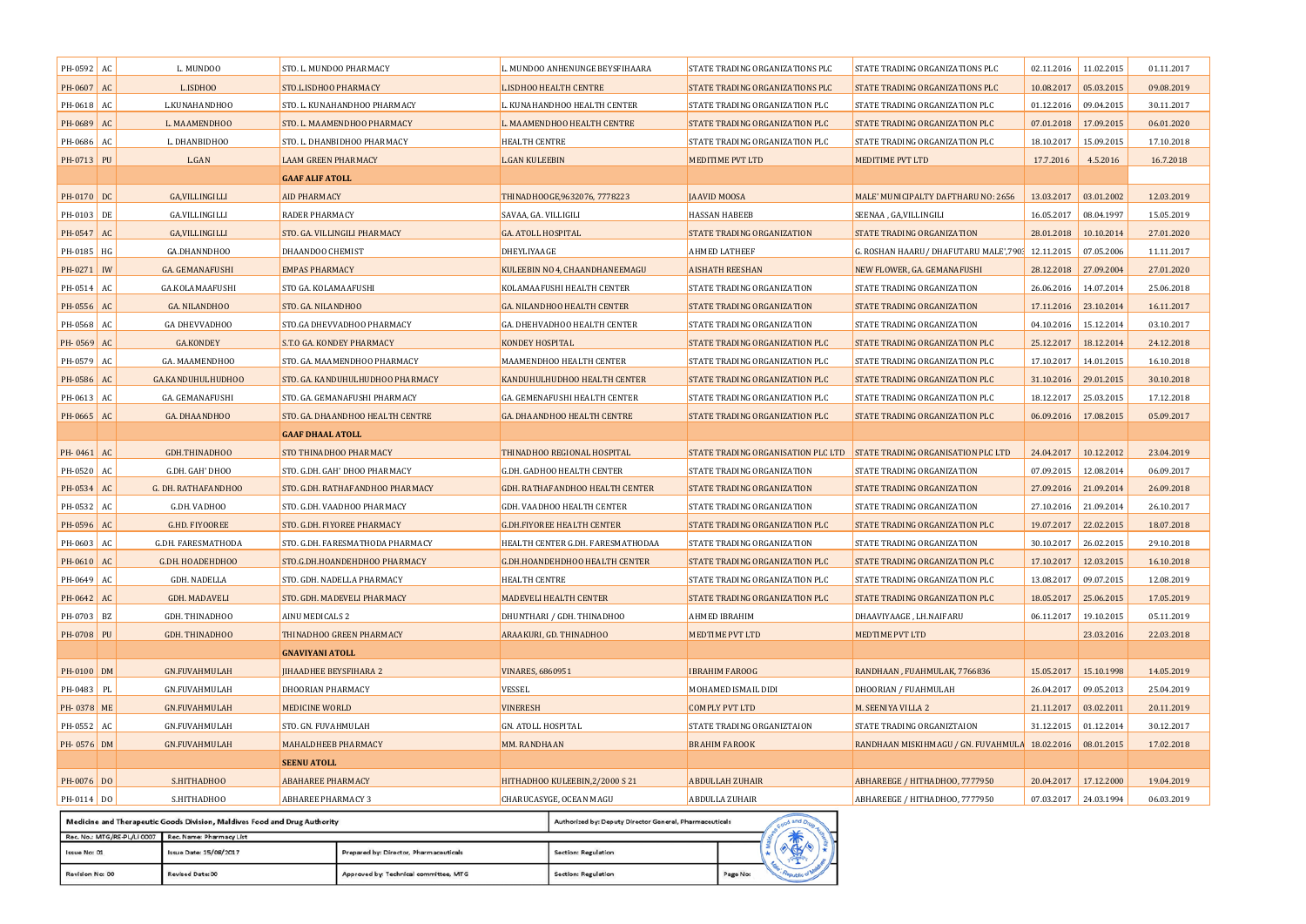| PH-0592      | AC                     | L. MUNDOO                                                                 | STO. L. MUNDOO PHARMACY          |                           | L. MUNDOO ANHENUNGE BEYSFIHAARA                         | STATE TRADING ORGANIZATIONS PLC    | STATE TRADING ORGANIZATIONS PLC                | 02.11.2016            | 11.02.2015 | 01.11.2017 |
|--------------|------------------------|---------------------------------------------------------------------------|----------------------------------|---------------------------|---------------------------------------------------------|------------------------------------|------------------------------------------------|-----------------------|------------|------------|
| PH-0607 AC   |                        | L.ISDHOO                                                                  | STO.L.ISDHOO PHARMACY            |                           | L.ISDHOO HEALTH CENTRE                                  | STATE TRADING ORGANIZATIONS PLC    | STATE TRADING ORGANIZATIONS PLC                | 10.08.2017            | 05.03.2015 | 09.08.2019 |
| PH-0618      | AC                     | L.KUNAHANDHOO                                                             | STO. L. KUNAHANDHOO PHARMACY     |                           | L. KUNAHANDHOO HEALTH CENTER                            | STATE TRADING ORGANIZATION PLC     | STATE TRADING ORGANIZATION PLC                 | 01.12.2016            | 09.04.2015 | 30.11.2017 |
| PH-0689 AC   |                        | L. MAAMENDHOO                                                             | STO. L. MAAMENDHOO PHARMACY      |                           | L. MAAMENDHOO HEALTH CENTRE                             | STATE TRADING ORGANIZATION PLC     | STATE TRADING ORGANIZATION PLC                 | 07.01.2018            | 17.09.2015 | 06.01.2020 |
| PH-0686      | AC                     | L. DHANBIDHOO                                                             | STO. L. DHANBIDHOO PHARMACY      | <b>HEALTH CENTRE</b>      |                                                         | STATE TRADING ORGANIZATION PLC     | STATE TRADING ORGANIZATION PLC                 | 18.10.2017            | 15.09.2015 | 17.10.2018 |
| PH-0713 PU   |                        | L.GAN                                                                     | <b>LAAM GREEN PHARMACY</b>       | <b>L.GAN KULEEBIN</b>     |                                                         | MEDITIME PVT LTD                   | MEDITIME PVT LTD                               | 17.7.2016             | 4.5.2016   | 16.7.2018  |
|              |                        |                                                                           | <b>GAAF ALIF ATOLL</b>           |                           |                                                         |                                    |                                                |                       |            |            |
| PH-0170 DC   |                        | <b>GA, VILLINGILLI</b>                                                    | <b>AID PHARMACY</b>              |                           | THINADHOOGE,9632076, 7778223                            | <b>JAAVID MOOSA</b>                | MALE' MUNICIPALTY DAFTHARU NO: 2656            | 13.03.2017            | 03.01.2002 | 12.03.2019 |
| PH-0103      | DE                     | GA.VILLINGILLI                                                            | RADER PHARMACY                   | SAVAA, GA. VILLIGILI      |                                                         | <b>HASSAN HABEEB</b>               | SEENAA , GA,VILLINGILI                         | 16.05.2017            | 08.04.1997 | 15.05.2019 |
| PH-0547      | AC                     | <b>GA,VILLINGILLI</b>                                                     | STO. GA. VILLINGILI PHARMACY     | <b>GA. ATOLL HOSPITAL</b> |                                                         | STATE TRADING ORGANIZATION         | STATE TRADING ORGANIZATION                     | 28.01.2018            | 10.10.2014 | 27.01.2020 |
| PH-0185 HG   |                        | GA.DHANNDHOO                                                              | <b>DHAANDOO CHEMIST</b>          | DHEYLIYAAGE               |                                                         | <b>AHMED LATHEEF</b>               | G. ROSHAN HAARU/ DHAFUTARU MALE',790;          | 12.11.2015            | 07.05.2006 | 11.11.2017 |
| PH-0271      | IW                     | GA. GEMANAFUSHI                                                           | <b>EMPAS PHARMACY</b>            |                           | KULEEBIN NO 4, CHAANDHANEEMAGU                          | <b>AISHATH REESHAN</b>             | NEW FLOWER, GA. GEMANAFUSHI                    | 28.12.2018            | 27.09.2004 | 27.01.2020 |
| PH-0514      | AC                     | GA.KOLAMAAFUSHI                                                           | STO GA. KOLAMAAFUSHI             |                           | KOLAMAAFUSHI HEALTH CENTER                              | STATE TRADING ORGANIZATION         | STATE TRADING ORGANIZATION                     | 26.06.2016            | 14.07.2014 | 25.06.2018 |
| PH-0556      | AC                     | GA. NILANDHOO                                                             | STO. GA. NILANDHOO               |                           | GA. NILANDHOO HEALTH CENTER                             | STATE TRADING ORGANIZATION         | STATE TRADING ORGANIZATION                     | 17.11.2016            | 23.10.2014 | 16.11.2017 |
| PH-0568      | AC                     | <b>GA DHEVVADHOO</b>                                                      | STO.GA DHEVVADHOO PHARMACY       |                           | GA. DHEHVADHOO HEALTH CENTER                            | STATE TRADING ORGANIZATION         | STATE TRADING ORGANIZATION                     | 04.10.2016            | 15.12.2014 | 03.10.2017 |
| PH-0569      | AC                     | <b>GA.KONDEY</b>                                                          | S.T.O GA. KONDEY PHARMACY        | KONDEY HOSPITAL           |                                                         | STATE TRADING ORGANIZATION PLC     | STATE TRADING ORGANIZATION PLC                 | 25.12.2017            | 18.12.2014 | 24.12.2018 |
| PH-0579 AC   |                        | GA. MAAMENDHOO                                                            | STO. GA. MAAMENDHOO PHARMACY     |                           | MAAMENDHOO HEALTH CENTER                                | STATE TRADING ORGANIZATION PLC     | STATE TRADING ORGANIZATION PLC                 | 17.10.2017            | 14.01.2015 | 16.10.2018 |
| PH-0586      | $\mathbf{A}\mathbf{C}$ | GA.KANDUHULHUDHOO                                                         | STO. GA. KANDUHULHUDHOO PHARMACY |                           | KANDUHULHUDHOO HEALTH CENTER                            | STATE TRADING ORGANIZATION PLC     | STATE TRADING ORGANIZATION PLC                 | 31.10.2016            | 29.01.2015 | 30.10.2018 |
| PH-0613 AC   |                        | GA. GEMANAFUSHI                                                           | STO. GA. GEMANAFUSHI PHARMACY    |                           | GA. GEMENAFUSHI HEALTH CENTER                           | STATE TRADING ORGANIZATION PLC     | STATE TRADING ORGANIZATION PLC                 | 18.12.2017            | 25.03.2015 | 17.12.2018 |
| PH-0665 AC   |                        | GA. DHAANDHOO                                                             | STO. GA. DHAANDHOO HEALTH CENTRE |                           | GA. DHAANDHOO HEALTH CENTRE                             | STATE TRADING ORGANIZATION PLC     | STATE TRADING ORGANIZATION PLC                 | 06.09.2016            | 17.08.2015 | 05.09.2017 |
|              |                        |                                                                           | <b>GAAF DHAAL ATOLL</b>          |                           |                                                         |                                    |                                                |                       |            |            |
| PH-0461      | AC                     | GDH.THINADHOO                                                             | STO THINADHOO PHARMACY           |                           | THINADHOO REGIONAL HOSPITAL                             | STATE TRADING ORGANISATION PLC LTD | <b>STATE TRADING ORGANISATION PLC LTD</b>      | 24.04.2017            | 10.12.2012 | 23.04.2019 |
| PH-0520 AC   |                        | G.DH. GAH' DHOO                                                           | STO. G.DH. GAH' DHOO PHARMACY    |                           | G.DH. GADHOO HEALTH CENTER                              | STATE TRADING ORGANIZATION         | STATE TRADING ORGANIZATION                     | 07.09.2015            | 12.08.2014 | 06.09.2017 |
| PH-0534      | AC                     | G. DH. RATHAFANDHOO                                                       | STO. G.DH. RATHAFANDHOO PHARMACY |                           | GDH. RATHAFANDHOO HEALTH CENTER                         | STATE TRADING ORGANIZATION         | STATE TRADING ORGANIZATION                     | 27.09.2016            | 21.09.2014 | 26.09.2018 |
| PH-0532      | AC                     | G.DH. VADHOO                                                              | STO. G.DH. VAADHOO PHARMACY      |                           | GDH. VAADHOO HEALTH CENTER                              | STATE TRADING ORGANIZATION         | STATE TRADING ORGANIZATION                     | 27.10.2016            | 21.09.2014 | 26.10.2017 |
| PH-0596      | AC                     | <b>G.HD. FIYOOREE</b>                                                     | STO. G.DH. FIYOREE PHARMACY      |                           | <b>G.DH.FIYOREE HEALTH CENTER</b>                       | STATE TRADING ORGANIZATION PLC     | STATE TRADING ORGANIZATION PLC                 | 19.07.2017            | 22.02.2015 | 18.07.2018 |
| PH-0603      | AC                     | G.DH. FARESMATHODA                                                        | STO. G.DH. FARESMATHODA PHARMACY |                           | HEALTH CENTER G.DH. FARESMATHODAA                       | STATE TRADING ORGANIZATION         | STATE TRADING ORGANIZATION                     | 30.10.2017            | 26.02.2015 | 29.10.2018 |
| PH-0610      | AC                     | G.DH. HOADEHDHOO                                                          | STO.G.DH.HOANDEHDHOO PHARMACY    |                           | <b>G.DH.HOANDEHDHOO HEALTH CENTER</b>                   | STATE TRADING ORGANIZATION PLC     | STATE TRADING ORGANIZATION PLC                 | 17.10.2017            | 12.03.2015 | 16.10.2018 |
| PH-0649      | AC                     | GDH. NADELLA                                                              | STO. GDH. NADELLA PHARMACY       | HEALTH CENTRE             |                                                         | STATE TRADING ORGANIZATION PLC     | STATE TRADING ORGANIZATION PLC                 | 13.08.2017            | 09.07.2015 | 12.08.2019 |
| PH-0642      | AC                     | GDH. MADAVELI                                                             | STO. GDH. MADEVELI PHARMACY      |                           | <b>MADEVELI HEALTH CENTER</b>                           | STATE TRADING ORGANIZATION PLC     | STATE TRADING ORGANIZATION PLC                 | 18.05.2017            | 25.06.2015 | 17.05.2019 |
| PH-0703 BZ   |                        | GDH. THINADHOO                                                            | AINU MEDICALS 2                  |                           | DHUNTHARI / GDH. THINADHOO                              | AHMED IBRAHIM                      | DHAAVIYAAGE, LH.NAIFARU                        | 06.11.2017            | 19.10.2015 | 05.11.2019 |
| PH-0708 PU   |                        | GDH. THINADHOO                                                            | THINADHOO GREEN PHARMACY         |                           | ARAAKURI, GD. THINADHOO                                 | <b>MEDTIME PVT LTD</b>             | <b>MEDTIME PVT LTD</b>                         |                       | 23.03.2016 | 22.03.2018 |
|              |                        |                                                                           | <b>GNAVIYANI ATOLL</b>           |                           |                                                         |                                    |                                                |                       |            |            |
| PH-0100 DM   |                        | <b>GN.FUVAHMULAH</b>                                                      | <b>IIHAADHEE BEYSFIHARA 2</b>    | <b>VINARES, 6860951</b>   |                                                         | <b>IBRAHIM FAROOG</b>              | RANDHAAN, FUAHMULAK, 7766836                   | 15.05.2017            | 15.10.1998 | 14.05.2019 |
| PH-0483      | PL                     | GN.FUVAHMULAH                                                             | DHOORIAN PHARMACY                | VESSEL                    |                                                         | MOHAMED ISMAIL DIDI                | DHOORIAN / FUAHMULAH                           | 26.04.2017            | 09.05.2013 | 25.04.2019 |
| PH-0378 ME   |                        | GN.FUVAHMULAH                                                             | <b>MEDICINE WORLD</b>            | <b>VINERESH</b>           |                                                         | <b>COMPLY PVT LTD</b>              | M. SEENIYA VILLA 2                             | 21.11.2017 03.02.2011 |            | 20.11.2019 |
| PH-0552      | AC                     | GN.FUVAHMULAH                                                             | STO. GN. FUVAHMULAH              | GN. ATOLL HOSPITAL        |                                                         | STATE TRADING ORGANIZTAION         | STATE TRADING ORGANIZTAION                     | 31.12.2015            | 01.12.2014 | 30.12.2017 |
| PH-0576 DM   |                        | <b>GN.FUVAHMULAH</b>                                                      | <b>MAHALDHEEB PHARMACY</b>       | MM. RANDHAAN              |                                                         | <b>BRAHIM FAROOK</b>               | RANDHAAN MISKIHMAGU / GN. FUVAHMULA 18.02.2016 |                       | 08.01.2015 | 17.02.2018 |
|              |                        |                                                                           | <b>SEENU ATOLL</b>               |                           |                                                         |                                    |                                                |                       |            |            |
| PH-0076 DO   |                        | S.HITHADHOO                                                               | <b>ABAHAREE PHARMACY</b>         |                           | HITHADHOO KULEEBIN, 2/2000 S 21                         | <b>ABDULLAH ZUHAIR</b>             | ABHAREEGE / HITHADHOO, 7777950                 | 20.04.2017 17.12.2000 |            | 19.04.2019 |
| $PH-0114$ DO |                        | S.HITHADHOO                                                               | <b>ABHAREE PHARMACY 3</b>        |                           | CHARUCASYGE, OCEAN MAGU                                 | <b>ABDULLA ZUHAIR</b>              | ABHAREEGE / HITHADHOO, 7777950                 | 07.03.2017 24.03.1994 |            | 06.03.2019 |
|              |                        | Medicine and Therapeutic Goods Division, Maldives Food and Drug Authority |                                  |                           | Authorized by: Deputy Director General, Pharmaceuticals | od and Drug                        |                                                |                       |            |            |

| Rec. No.: MTG/RE-PL/LI 0007 Rec. Name: Pharmacy List |                        |                                        |                     |          |  |  |
|------------------------------------------------------|------------------------|----------------------------------------|---------------------|----------|--|--|
| Issue No: 01                                         | Issue Date: 15/08/2017 | Prepared by: Director, Pharmaceuticals | Section: Regulation |          |  |  |
| Revision No: 00                                      | Revised Date: 00       | Approved by: Technical committee, MTG  | Section: Regulation | Page No: |  |  |